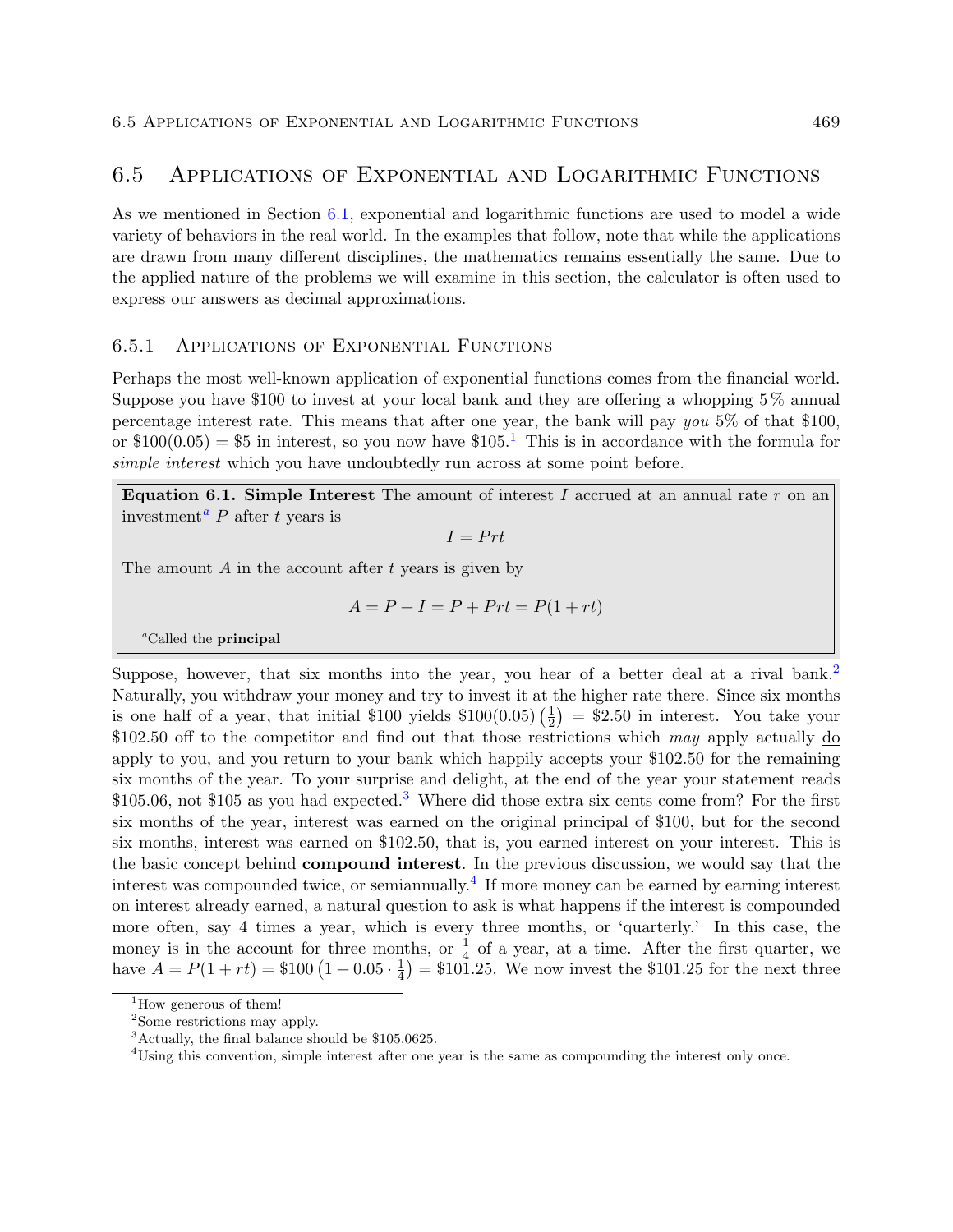# 6.5 Applications of Exponential and Logarithmic Functions

As we mentioned in Section 6.1, exponential and logarithmic functions are used to model a wide variety of behaviors in the real world. In the examples that follow, note that while the applications are drawn from many different disciplines, the mathematics remains essentially the same. Due to the applied nature of the problems we will examine in this section, the calculator is often used to express our answers as decimal approximations.

# 6.5.1 Applications of Exponential Functions

Perhaps the most well-known application of exponential functions comes from the financial world. Suppose you have \$100 to invest at your local bank and they are offering a whopping 5 % annual percentage interest rate. This means that after one year, the bank will pay you  $5\%$  of that \$100, or  $$100(0.05) = $5$  in interest, so you now have  $$105<sup>1</sup>$  This is in accordance with the formula for simple interest which you have undoubtedly run across at some point before.

**Equation 6.1. Simple Interest** The amount of interest I accrued at an annual rate r on an investment<sup>a</sup> P after t years is

 $I = Prt$ 

The amount  $A$  in the account after  $t$  years is given by

$$
A = P + I = P + Prt = P(1 + rt)
$$

<sup>a</sup>Called the principal

Suppose, however, that six months into the year, you hear of a better deal at a rival bank.<sup>2</sup> Naturally, you withdraw your money and try to invest it at the higher rate there. Since six months is one half of a year, that initial \$100 yields  $$100(0.05)(\frac{1}{2})$  $\frac{1}{2}$  = \$2.50 in interest. You take your \$102.50 off to the competitor and find out that those restrictions which may apply actually  $\underline{do}$ apply to you, and you return to your bank which happily accepts your \$102.50 for the remaining six months of the year. To your surprise and delight, at the end of the year your statement reads \$105.06, not \$105 as you had expected.<sup>3</sup> Where did those extra six cents come from? For the first six months of the year, interest was earned on the original principal of \$100, but for the second six months, interest was earned on \$102.50, that is, you earned interest on your interest. This is the basic concept behind compound interest. In the previous discussion, we would say that the interest was compounded twice, or semiannually.<sup>4</sup> If more money can be earned by earning interest on interest already earned, a natural question to ask is what happens if the interest is compounded more often, say 4 times a year, which is every three months, or 'quarterly.' In this case, the money is in the account for three months, or  $\frac{1}{4}$  of a year, at a time. After the first quarter, we have  $A = P(1 + rt) = $100 (1 + 0.05 \cdot \frac{1}{4})$  $\frac{1}{4}$  = \$101.25. We now invest the \$101.25 for the next three

<sup>&</sup>lt;sup>1</sup>How generous of them!

<sup>&</sup>lt;sup>2</sup>Some restrictions may apply.

<sup>3</sup>Actually, the final balance should be \$105.0625.

<sup>&</sup>lt;sup>4</sup>Using this convention, simple interest after one year is the same as compounding the interest only once.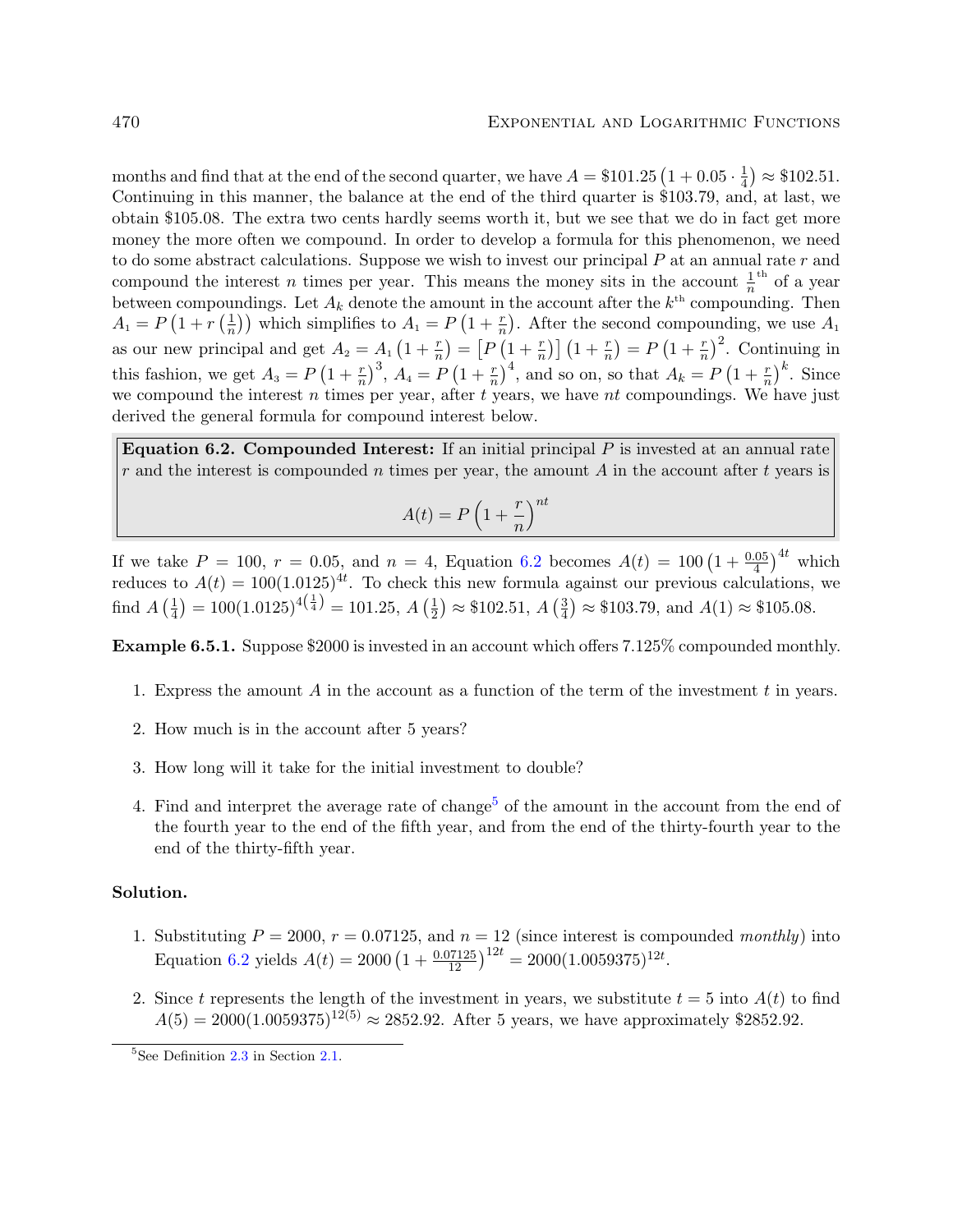months and find that at the end of the second quarter, we have  $A = $101.25 \left(1 + 0.05 \cdot \frac{1}{4}\right)$  $(\frac{1}{4}) \approx $102.51.$ Continuing in this manner, the balance at the end of the third quarter is \$103.79, and, at last, we obtain \$105.08. The extra two cents hardly seems worth it, but we see that we do in fact get more money the more often we compound. In order to develop a formula for this phenomenon, we need to do some abstract calculations. Suppose we wish to invest our principal  $P$  at an annual rate  $r$  and compound the interest *n* times per year. This means the money sits in the account  $\frac{1}{n}$  of a year between compoundings. Let  $A_k$  denote the amount in the account after the  $k^{\text{th}}$  compounding. Then  $A_1 = P(1 + r\left(\frac{1}{n}\right))$  $\frac{1}{n}$ ) which simplifies to  $A_1 = P(1 + \frac{r}{n})$ . After the second compounding, we use  $A_1$ as our new principal and get  $A_2 = A_1 \left(1 + \frac{r}{n}\right) = \left[P\left(1 + \frac{r}{n}\right)\right] \left(1 + \frac{r}{n}\right) = P\left(1 + \frac{r}{n}\right)^2$ . Continuing in this fashion, we get  $A_3 = P\left(1+\frac{r}{n}\right)^3$ ,  $A_4 = P\left(1+\frac{r}{n}\right)^4$ , and so on, so that  $A_k = P\left(1+\frac{r}{n}\right)^k$ . Since we compound the interest  $n$  times per year, after  $t$  years, we have  $nt$  compoundings. We have just derived the general formula for compound interest below.

Equation 6.2. Compounded Interest: If an initial principal  $P$  is invested at an annual rate  $r$  and the interest is compounded  $n$  times per year, the amount  $A$  in the account after  $t$  years is

$$
A(t) = P\left(1 + \frac{r}{n}\right)^{nt}
$$

If we take  $P = 100$ ,  $r = 0.05$ , and  $n = 4$ , Equation 6.2 becomes  $A(t) = 100 \left(1 + \frac{0.05}{4}\right)^{4t}$  which reduces to  $A(t) = 100(1.0125)^{4t}$ . To check this new formula against our previous calculations, we find  $A\left(\frac{1}{4}\right)$  $\left(\frac{1}{4}\right) = 100(1.0125)^{4\left(\frac{1}{4}\right)} = 101.25, A\left(\frac{1}{2}\right)$  $(\frac{1}{2}) \approx $102.51, A\left(\frac{3}{4}\right)$  $\frac{3}{4}$   $\approx$  \$103.79, and  $A(1) \approx$  \$105.08.

Example 6.5.1. Suppose \$2000 is invested in an account which offers 7.125% compounded monthly.

- 1. Express the amount A in the account as a function of the term of the investment  $t$  in years.
- 2. How much is in the account after 5 years?
- 3. How long will it take for the initial investment to double?
- 4. Find and interpret the average rate of change<sup>5</sup> of the amount in the account from the end of the fourth year to the end of the fifth year, and from the end of the thirty-fourth year to the end of the thirty-fifth year.

### Solution.

- 1. Substituting  $P = 2000$ ,  $r = 0.07125$ , and  $n = 12$  (since interest is compounded monthly) into Equation 6.2 yields  $A(t) = 2000 \left(1 + \frac{0.07125}{12}\right)^{12t} = 2000(1.0059375)^{12t}$ .
- 2. Since t represents the length of the investment in years, we substitute  $t = 5$  into  $A(t)$  to find  $A(5) = 2000(1.0059375)^{12(5)} \approx 2852.92$ . After 5 years, we have approximately \$2852.92.

 ${}^{5}$ See Definition 2.3 in Section 2.1.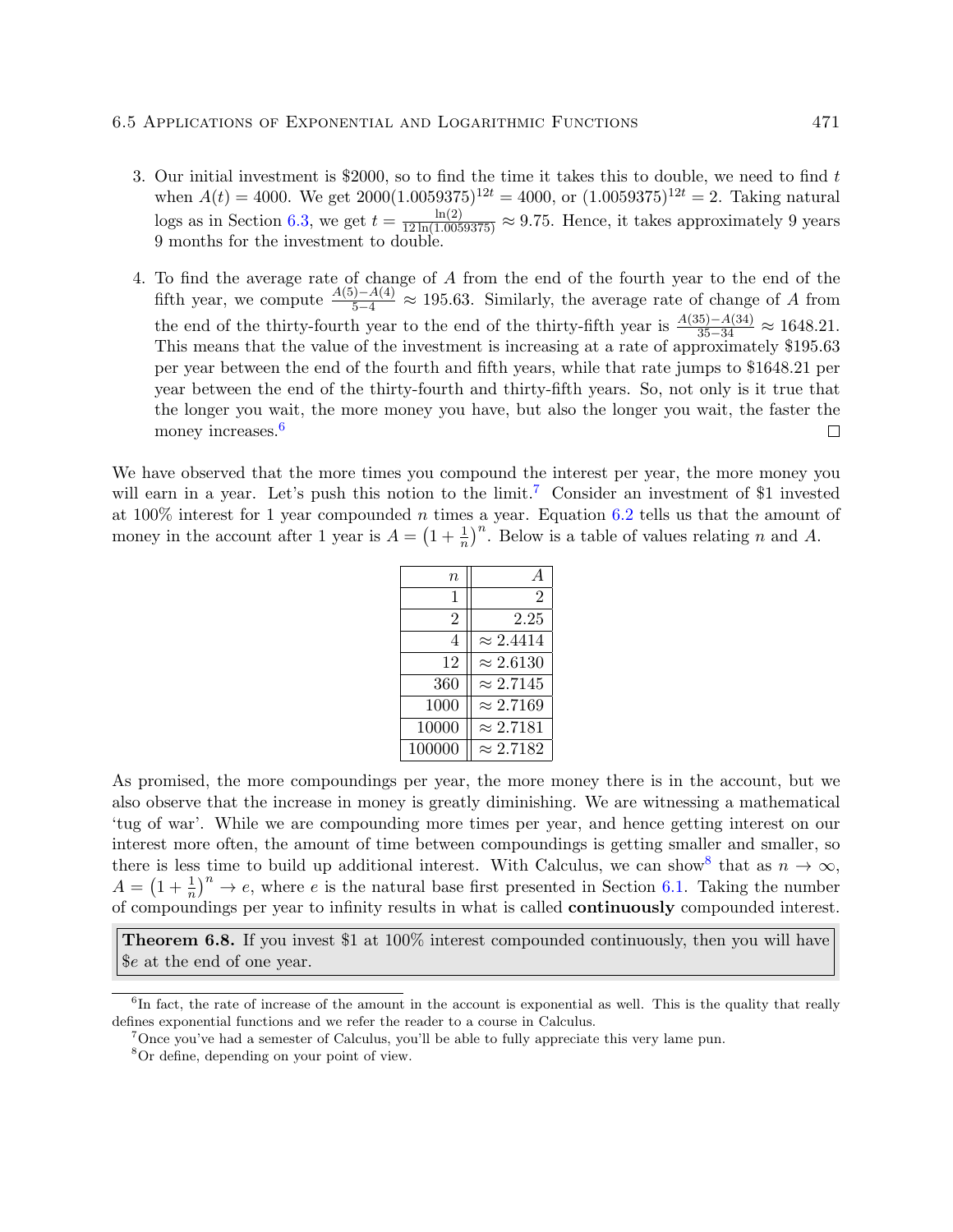- 3. Our initial investment is \$2000, so to find the time it takes this to double, we need to find t when  $A(t) = 4000$ . We get  $2000(1.0059375)^{12t} = 4000$ , or  $(1.0059375)^{12t} = 2$ . Taking natural logs as in Section 6.3, we get  $t = \frac{\ln(2)}{12 \ln(1.0059375)} \approx 9.75$ . Hence, it takes approximately 9 years 9 months for the investment to double.
- 4. To find the average rate of change of A from the end of the fourth year to the end of the fifth year, we compute  $\frac{A(5)-A(4)}{5-4} \approx 195.63$ . Similarly, the average rate of change of A from the end of the thirty-fourth year to the end of the thirty-fifth year is  $\frac{A(35)-A(34)}{35-34} \approx 1648.21$ . This means that the value of the investment is increasing at a rate of approximately \$195.63 per year between the end of the fourth and fifth years, while that rate jumps to \$1648.21 per year between the end of the thirty-fourth and thirty-fifth years. So, not only is it true that the longer you wait, the more money you have, but also the longer you wait, the faster the money increases.<sup>6</sup>  $\Box$

We have observed that the more times you compound the interest per year, the more money you will earn in a year. Let's push this notion to the limit.<sup>7</sup> Consider an investment of \$1 invested at 100% interest for 1 year compounded n times a year. Equation 6.2 tells us that the amount of money in the account after 1 year is  $A = \left(1 + \frac{1}{n}\right)^n$ . Below is a table of values relating n and A.

| $\it n$ |                  |
|---------|------------------|
| 1       | 2                |
| 2       | 2.25             |
| 4       | $\approx 2.4414$ |
| 12      | $\approx 2.6130$ |
| 360     | $\approx 2.7145$ |
| 1000    | $\approx 2.7169$ |
| 10000   | $\approx 2.7181$ |
| 100000  | $\approx 2.7182$ |

As promised, the more compoundings per year, the more money there is in the account, but we also observe that the increase in money is greatly diminishing. We are witnessing a mathematical 'tug of war'. While we are compounding more times per year, and hence getting interest on our interest more often, the amount of time between compoundings is getting smaller and smaller, so there is less time to build up additional interest. With Calculus, we can show<sup>8</sup> that as  $n \to \infty$ ,  $A = \left(1 + \frac{1}{n}\right)^n \to e$ , where e is the natural base first presented in Section 6.1. Taking the number of compoundings per year to infinity results in what is called continuously compounded interest.

Theorem 6.8. If you invest \$1 at 100% interest compounded continuously, then you will have \$e at the end of one year.

<sup>&</sup>lt;sup>6</sup>In fact, the rate of increase of the amount in the account is exponential as well. This is the quality that really defines exponential functions and we refer the reader to a course in Calculus.

<sup>7</sup>Once you've had a semester of Calculus, you'll be able to fully appreciate this very lame pun.

<sup>8</sup>Or define, depending on your point of view.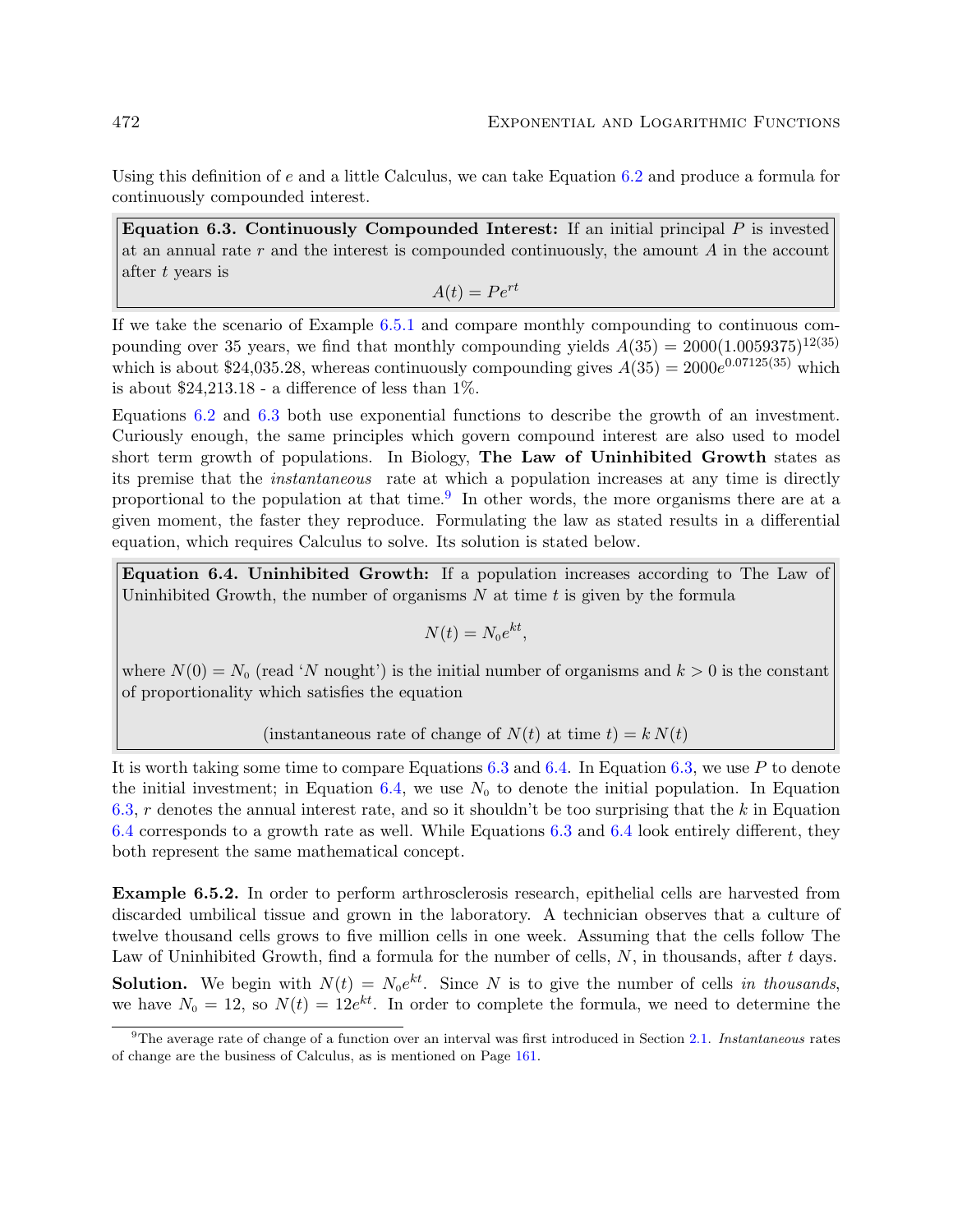Using this definition of  $e$  and a little Calculus, we can take Equation 6.2 and produce a formula for continuously compounded interest.

Equation 6.3. Continuously Compounded Interest: If an initial principal  $P$  is invested at an annual rate  $r$  and the interest is compounded continuously, the amount  $A$  in the account after t years is

$$
A(t) = Pe^{rt}
$$

If we take the scenario of Example 6.5.1 and compare monthly compounding to continuous compounding over 35 years, we find that monthly compounding yields  $A(35) = 2000(1.0059375)^{12(35)}$ which is about \$24,035.28, whereas continuously compounding gives  $A(35) = 2000e^{0.07125(35)}$  which is about  $$24,213.18$  - a difference of less than  $1\%$ .

Equations 6.2 and 6.3 both use exponential functions to describe the growth of an investment. Curiously enough, the same principles which govern compound interest are also used to model short term growth of populations. In Biology, The Law of Uninhibited Growth states as its premise that the instantaneous rate at which a population increases at any time is directly proportional to the population at that time.<sup>9</sup> In other words, the more organisms there are at a given moment, the faster they reproduce. Formulating the law as stated results in a differential equation, which requires Calculus to solve. Its solution is stated below.

Equation 6.4. Uninhibited Growth: If a population increases according to The Law of Uninhibited Growth, the number of organisms  $N$  at time  $t$  is given by the formula

$$
N(t) = N_0 e^{kt},
$$

where  $N(0) = N_0$  (read 'N nought') is the initial number of organisms and  $k > 0$  is the constant of proportionality which satisfies the equation

(instantaneous rate of change of  $N(t)$  at time  $t$ ) =  $k N(t)$ 

It is worth taking some time to compare Equations  $6.3$  and  $6.4$ . In Equation  $6.3$ , we use P to denote the initial investment; in Equation 6.4, we use  $N_0$  to denote the initial population. In Equation 6.3, r denotes the annual interest rate, and so it shouldn't be too surprising that the  $k$  in Equation 6.4 corresponds to a growth rate as well. While Equations 6.3 and 6.4 look entirely different, they both represent the same mathematical concept.

Example 6.5.2. In order to perform arthrosclerosis research, epithelial cells are harvested from discarded umbilical tissue and grown in the laboratory. A technician observes that a culture of twelve thousand cells grows to five million cells in one week. Assuming that the cells follow The Law of Uninhibited Growth, find a formula for the number of cells,  $N$ , in thousands, after  $t$  days. **Solution.** We begin with  $N(t) = N_0 e^{kt}$ . Since N is to give the number of cells in thousands, we have  $N_0 = 12$ , so  $N(t) = 12e^{kt}$ . In order to complete the formula, we need to determine the

<sup>9</sup>The average rate of change of a function over an interval was first introduced in Section 2.1. Instantaneous rates of change are the business of Calculus, as is mentioned on Page 161.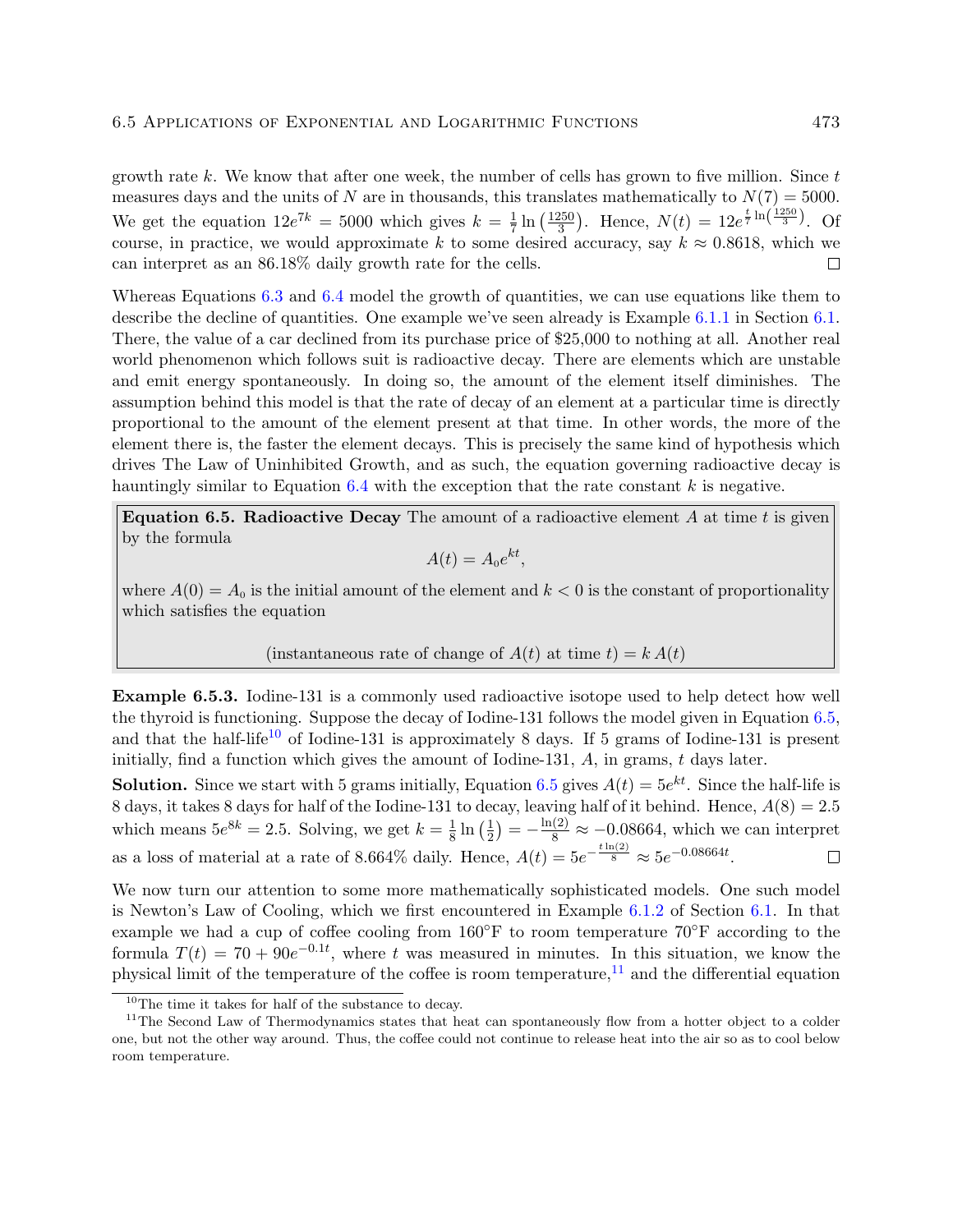growth rate k. We know that after one week, the number of cells has grown to five million. Since  $t$ measures days and the units of N are in thousands, this translates mathematically to  $N(7) = 5000$ .  $\frac{250}{3}$ . Hence,  $N(t) = 12e^{\frac{t}{7}\ln\left(\frac{1250}{3}\right)}$ . Of We get the equation  $12e^{7k} = 5000$  which gives  $k = \frac{1}{7}$  $\frac{1}{7} \ln \left( \frac{1250}{3} \right)$ course, in practice, we would approximate k to some desired accuracy, say  $k \approx 0.8618$ , which we can interpret as an 86.18% daily growth rate for the cells.  $\Box$ 

Whereas Equations 6.3 and 6.4 model the growth of quantities, we can use equations like them to describe the decline of quantities. One example we've seen already is Example 6.1.1 in Section 6.1. There, the value of a car declined from its purchase price of \$25,000 to nothing at all. Another real world phenomenon which follows suit is radioactive decay. There are elements which are unstable and emit energy spontaneously. In doing so, the amount of the element itself diminishes. The assumption behind this model is that the rate of decay of an element at a particular time is directly proportional to the amount of the element present at that time. In other words, the more of the element there is, the faster the element decays. This is precisely the same kind of hypothesis which drives The Law of Uninhibited Growth, and as such, the equation governing radioactive decay is hauntingly similar to Equation  $6.4$  with the exception that the rate constant k is negative.

Equation 6.5. Radioactive Decay The amount of a radioactive element  $A$  at time  $t$  is given by the formula

$$
A(t) = A_0 e^{kt},
$$

where  $A(0) = A_0$  is the initial amount of the element and  $k < 0$  is the constant of proportionality which satisfies the equation

#### (instantaneous rate of change of  $A(t)$  at time  $t$ ) =  $k A(t)$

Example 6.5.3. Iodine-131 is a commonly used radioactive isotope used to help detect how well the thyroid is functioning. Suppose the decay of Iodine-131 follows the model given in Equation 6.5, and that the half-life<sup>10</sup> of Iodine-131 is approximately 8 days. If 5 grams of Iodine-131 is present initially, find a function which gives the amount of Iodine-131,  $A$ , in grams,  $t$  days later.

**Solution.** Since we start with 5 grams initially, Equation 6.5 gives  $A(t) = 5e^{kt}$ . Since the half-life is 8 days, it takes 8 days for half of the Iodine-131 to decay, leaving half of it behind. Hence,  $A(8) = 2.5$  $(\frac{1}{2}) = -\frac{\ln(2)}{8} \approx -0.08664$ , which we can interpret which means  $5e^{8k} = 2.5$ . Solving, we get  $k = \frac{1}{8}$  $\frac{1}{8} \ln \left( \frac{1}{2} \right)$ as a loss of material at a rate of 8.664\% daily. Hence,  $A(t) = 5e^{-\frac{t \ln(2)}{8}} \approx 5e^{-0.08664t}$ .  $\Box$ 

We now turn our attention to some more mathematically sophisticated models. One such model is Newton's Law of Cooling, which we first encountered in Example 6.1.2 of Section 6.1. In that example we had a cup of coffee cooling from  $160°$ F to room temperature  $70°$ F according to the formula  $T(t) = 70 + 90e^{-0.1t}$ , where t was measured in minutes. In this situation, we know the physical limit of the temperature of the coffee is room temperature, $11$  and the differential equation

<sup>10</sup>The time it takes for half of the substance to decay.

<sup>&</sup>lt;sup>11</sup>The Second Law of Thermodynamics states that heat can spontaneously flow from a hotter object to a colder one, but not the other way around. Thus, the coffee could not continue to release heat into the air so as to cool below room temperature.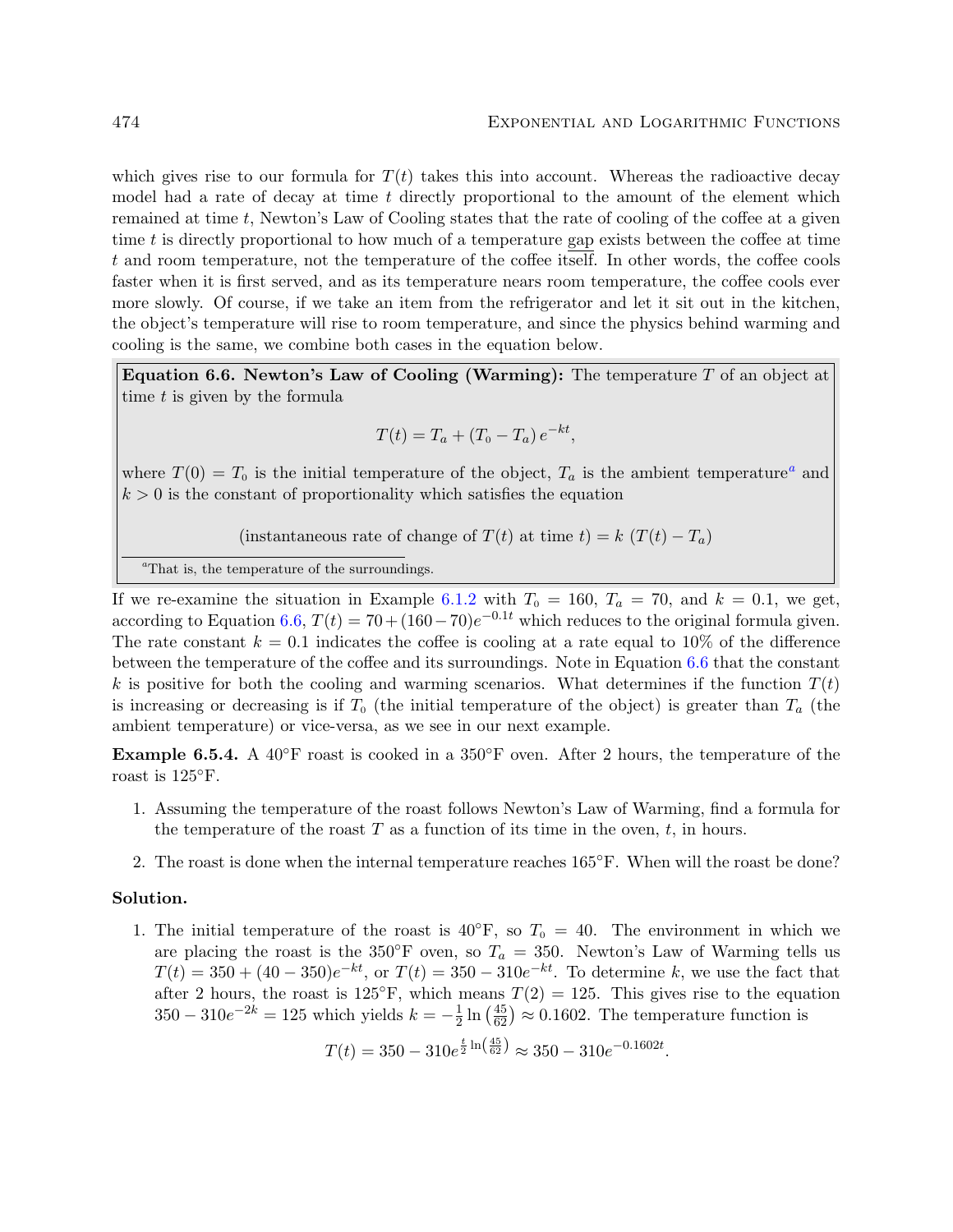which gives rise to our formula for  $T(t)$  takes this into account. Whereas the radioactive decay model had a rate of decay at time  $t$  directly proportional to the amount of the element which remained at time  $t$ , Newton's Law of Cooling states that the rate of cooling of the coffee at a given time  $t$  is directly proportional to how much of a temperature gap exists between the coffee at time t and room temperature, not the temperature of the coffee itself. In other words, the coffee cools faster when it is first served, and as its temperature nears room temperature, the coffee cools ever more slowly. Of course, if we take an item from the refrigerator and let it sit out in the kitchen, the object's temperature will rise to room temperature, and since the physics behind warming and cooling is the same, we combine both cases in the equation below.

Equation 6.6. Newton's Law of Cooling (Warming): The temperature  $T$  of an object at time  $t$  is given by the formula

$$
T(t) = T_a + (T_0 - T_a) e^{-kt},
$$

where  $T(0) = T_0$  is the initial temperature of the object,  $T_a$  is the ambient temperature<sup>a</sup> and  $k > 0$  is the constant of proportionality which satisfies the equation

(instantaneous rate of change of  $T(t)$  at time  $t$ ) = k  $(T(t) - T_a)$ 

<sup>a</sup>That is, the temperature of the surroundings.

If we re-examine the situation in Example 6.1.2 with  $T_0 = 160$ ,  $T_a = 70$ , and  $k = 0.1$ , we get, according to Equation 6.6,  $T(t) = 70 + (160 - 70)e^{-0.1t}$  which reduces to the original formula given. The rate constant  $k = 0.1$  indicates the coffee is cooling at a rate equal to 10% of the difference between the temperature of the coffee and its surroundings. Note in Equation 6.6 that the constant k is positive for both the cooling and warming scenarios. What determines if the function  $T(t)$ is increasing or decreasing is if  $T_0$  (the initial temperature of the object) is greater than  $T_a$  (the ambient temperature) or vice-versa, as we see in our next example.

**Example 6.5.4.** A 40 $\degree$ F roast is cooked in a 350 $\degree$ F oven. After 2 hours, the temperature of the roast is 125◦F.

- 1. Assuming the temperature of the roast follows Newton's Law of Warming, find a formula for the temperature of the roast  $T$  as a function of its time in the oven,  $t$ , in hours.
- 2. The roast is done when the internal temperature reaches 165◦F. When will the roast be done?

#### Solution.

1. The initial temperature of the roast is  $40°\text{F}$ , so  $T_0 = 40$ . The environment in which we are placing the roast is the 350°F oven, so  $T_a = 350$ . Newton's Law of Warming tells us  $T(t) = 350 + (40 - 350)e^{-kt}$ , or  $T(t) = 350 - 310e^{-kt}$ . To determine k, we use the fact that after 2 hours, the roast is 125<sup>°</sup>F, which means  $T(2) = 125$ . This gives rise to the equation  $350 - 310e^{-2k} = 125$  which yields  $k = -\frac{1}{2}$  $\frac{1}{2} \ln \left( \frac{45}{62} \right) \approx 0.1602$ . The temperature function is

$$
T(t) = 350 - 310e^{\frac{t}{2}\ln\left(\frac{45}{62}\right)} \approx 350 - 310e^{-0.1602t}.
$$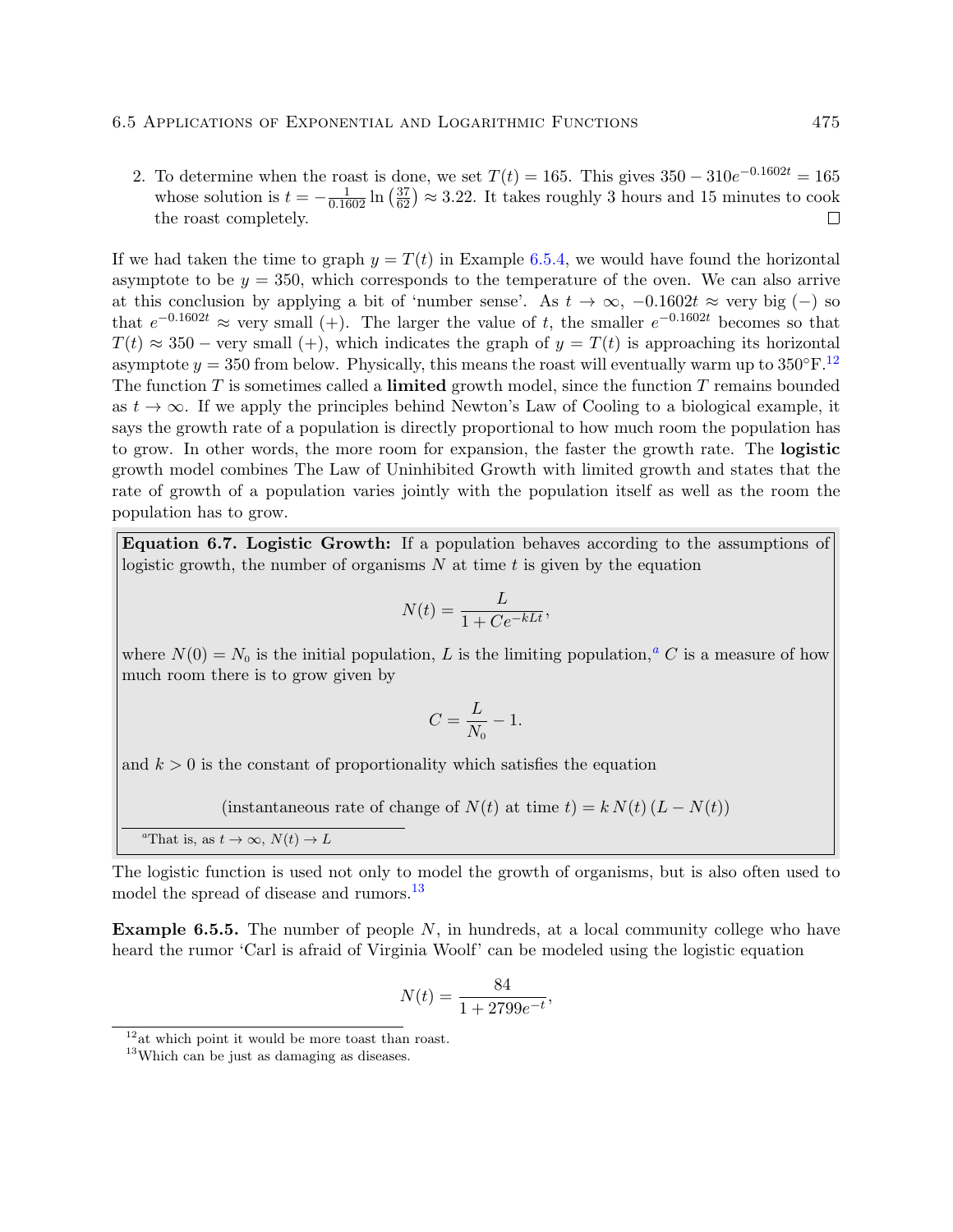2. To determine when the roast is done, we set  $T(t) = 165$ . This gives  $350 - 310e^{-0.1602t} = 165$ whose solution is  $t = -\frac{1}{0.1602} \ln \left( \frac{37}{62} \right) \approx 3.22$ . It takes roughly 3 hours and 15 minutes to cook the roast completely.  $\Box$ 

If we had taken the time to graph  $y = T(t)$  in Example 6.5.4, we would have found the horizontal asymptote to be  $y = 350$ , which corresponds to the temperature of the oven. We can also arrive at this conclusion by applying a bit of 'number sense'. As  $t \to \infty$ ,  $-0.1602t \approx$  very big (-) so that  $e^{-0.1602t} \approx$  very small (+). The larger the value of t, the smaller  $e^{-0.1602t}$  becomes so that  $T(t) \approx 350$  – very small (+), which indicates the graph of  $y = T(t)$  is approaching its horizontal asymptote  $y = 350$  from below. Physically, this means the roast will eventually warm up to  $350^{\circ}$ F.<sup>12</sup> The function  $T$  is sometimes called a **limited** growth model, since the function  $T$  remains bounded as  $t \to \infty$ . If we apply the principles behind Newton's Law of Cooling to a biological example, it says the growth rate of a population is directly proportional to how much room the population has to grow. In other words, the more room for expansion, the faster the growth rate. The logistic growth model combines The Law of Uninhibited Growth with limited growth and states that the rate of growth of a population varies jointly with the population itself as well as the room the population has to grow.

Equation 6.7. Logistic Growth: If a population behaves according to the assumptions of logistic growth, the number of organisms  $N$  at time  $t$  is given by the equation

$$
N(t) = \frac{L}{1 + Ce^{-kLt}},
$$

where  $\overline{N}(0) = N_0$  is the initial population, L is the limiting population,<sup>a</sup> C is a measure of how much room there is to grow given by

$$
C = \frac{L}{N_0} - 1.
$$

and  $k > 0$  is the constant of proportionality which satisfies the equation

(instantaneous rate of change of  $N(t)$  at time  $t$ ) =  $k N(t) (L - N(t))$ 

<sup>a</sup>That is, as  $t \to \infty$ ,  $N(t) \to L$ 

The logistic function is used not only to model the growth of organisms, but is also often used to model the spread of disease and rumors.<sup>13</sup>

**Example 6.5.5.** The number of people  $N$ , in hundreds, at a local community college who have heard the rumor 'Carl is afraid of Virginia Woolf' can be modeled using the logistic equation

$$
N(t) = \frac{84}{1 + 2799e^{-t}},
$$

 $12$ at which point it would be more toast than roast.

<sup>&</sup>lt;sup>13</sup>Which can be just as damaging as diseases.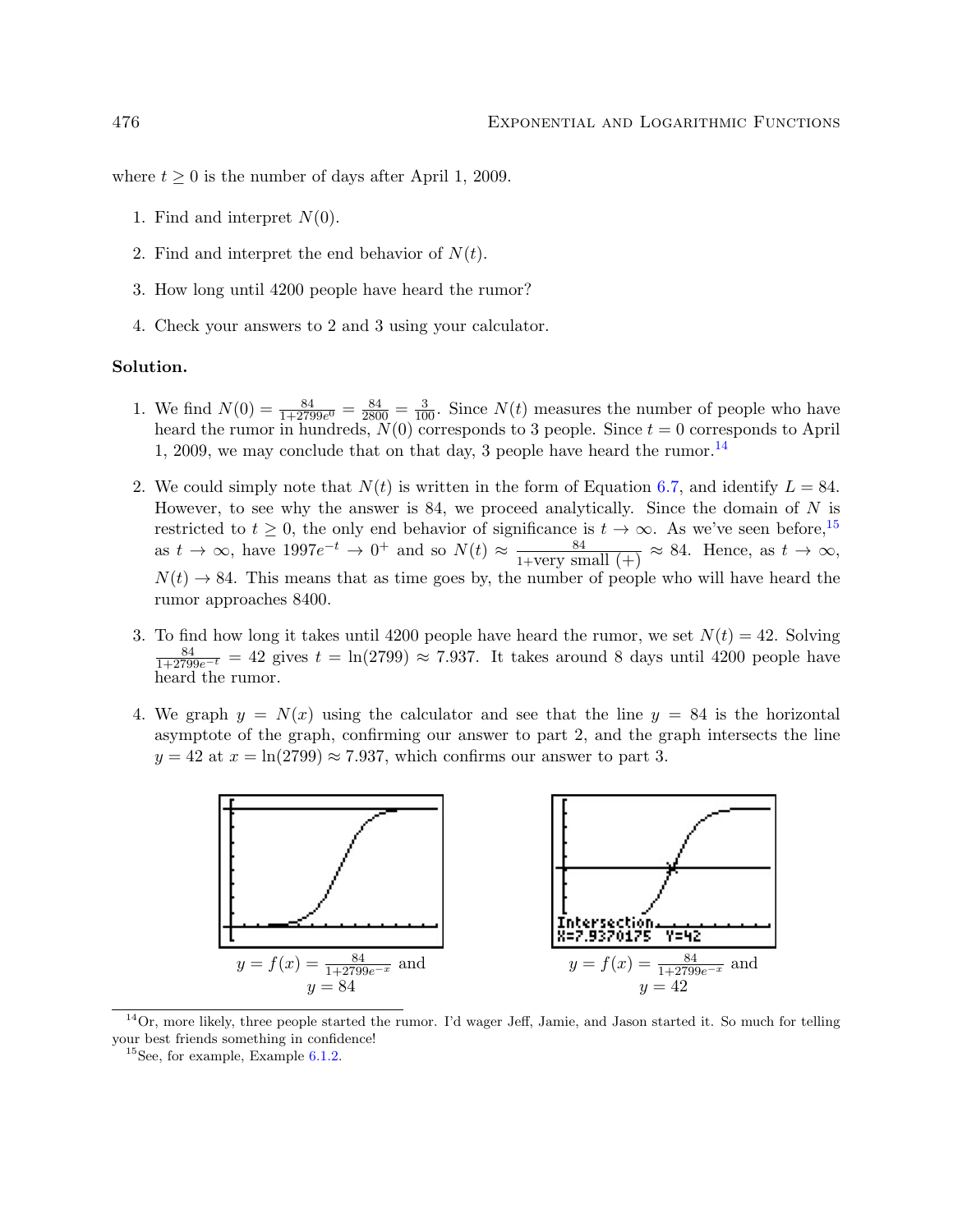where  $t \geq 0$  is the number of days after April 1, 2009.

- 1. Find and interpret  $N(0)$ .
- 2. Find and interpret the end behavior of  $N(t)$ .
- 3. How long until 4200 people have heard the rumor?
- 4. Check your answers to 2 and 3 using your calculator.

#### Solution.

- 1. We find  $N(0) = \frac{84}{1+2799e^0} = \frac{84}{2800} = \frac{3}{100}$ . Since  $N(t)$  measures the number of people who have heard the rumor in hundreds,  $N(0)$  corresponds to 3 people. Since  $t = 0$  corresponds to April 1, 2009, we may conclude that on that day, 3 people have heard the rumor.<sup>14</sup>
- 2. We could simply note that  $N(t)$  is written in the form of Equation 6.7, and identify  $L = 84$ . However, to see why the answer is 84, we proceed analytically. Since the domain of  $N$  is restricted to  $t \geq 0$ , the only end behavior of significance is  $t \to \infty$ . As we've seen before,<sup>15</sup> as  $t \to \infty$ , have  $1997e^{-t} \to 0^+$  and so  $N(t) \approx \frac{84}{1+\text{very small (+)}} \approx 84$ . Hence, as  $t \to \infty$ ,  $N(t) \rightarrow 84$ . This means that as time goes by, the number of people who will have heard the rumor approaches 8400.
- 3. To find how long it takes until 4200 people have heard the rumor, we set  $N(t) = 42$ . Solving  $\frac{84}{1+2799e^{-t}} = 42$  gives  $t = \ln(2799) \approx 7.937$ . It takes around 8 days until 4200 people have heard the rumor.
- 4. We graph  $y = N(x)$  using the calculator and see that the line  $y = 84$  is the horizontal asymptote of the graph, confirming our answer to part 2, and the graph intersects the line  $y = 42$  at  $x = \ln(2799) \approx 7.937$ , which confirms our answer to part 3.



 $14$ Or, more likely, three people started the rumor. I'd wager Jeff, Jamie, and Jason started it. So much for telling your best friends something in confidence!

 $^{15}$ See, for example, Example 6.1.2.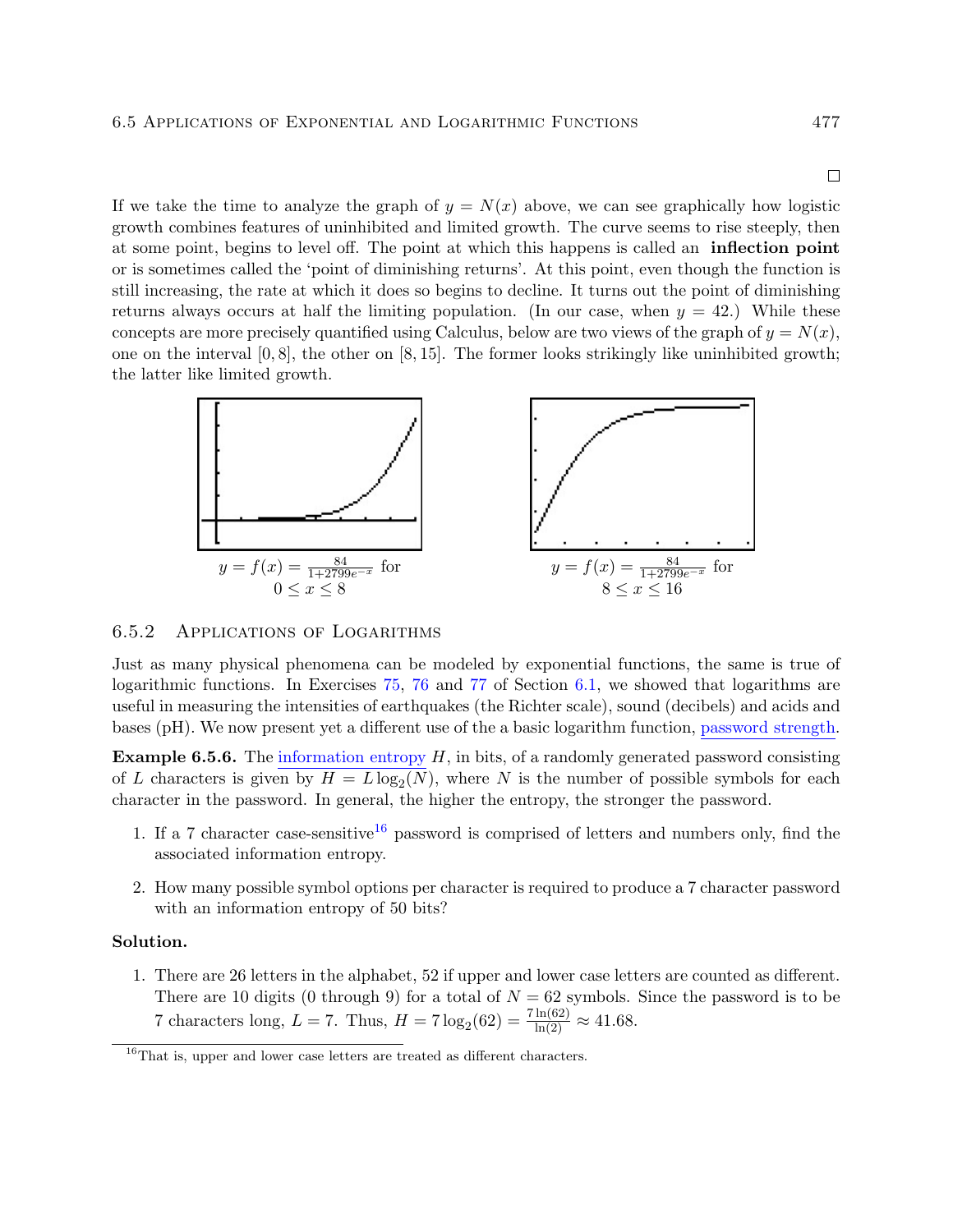$\Box$ 

If we take the time to analyze the graph of  $y = N(x)$  above, we can see graphically how logistic growth combines features of uninhibited and limited growth. The curve seems to rise steeply, then at some point, begins to level off. The point at which this happens is called an inflection point or is sometimes called the 'point of diminishing returns'. At this point, even though the function is still increasing, the rate at which it does so begins to decline. It turns out the point of diminishing returns always occurs at half the limiting population. (In our case, when  $y = 42$ .) While these concepts are more precisely quantified using Calculus, below are two views of the graph of  $y = N(x)$ , one on the interval  $[0, 8]$ , the other on  $[8, 15]$ . The former looks strikingly like uninhibited growth; the latter like limited growth.



#### 6.5.2 Applications of Logarithms

Just as many physical phenomena can be modeled by exponential functions, the same is true of logarithmic functions. In Exercises 75, 76 and 77 of Section 6.1, we showed that logarithms are useful in measuring the intensities of earthquakes (the Richter scale), sound (decibels) and acids and bases (pH). We now present yet a different use of the a basic logarithm function, [password strength.](http://en.wikipedia.org/wiki/Password_strength)

**Example 6.5.6.** The [information entropy](http://en.wikipedia.org/wiki/Information_entropy)  $H$ , in bits, of a randomly generated password consisting of L characters is given by  $H = L \log_2(N)$ , where N is the number of possible symbols for each character in the password. In general, the higher the entropy, the stronger the password.

- 1. If a 7 character case-sensitive<sup>16</sup> password is comprised of letters and numbers only, find the associated information entropy.
- 2. How many possible symbol options per character is required to produce a 7 character password with an information entropy of 50 bits?

### Solution.

1. There are 26 letters in the alphabet, 52 if upper and lower case letters are counted as different. There are 10 digits (0 through 9) for a total of  $N = 62$  symbols. Since the password is to be 7 characters long,  $L = 7$ . Thus,  $H = 7 \log_2(62) = \frac{7 \ln(62)}{\ln(2)} \approx 41.68$ .

 $^{16}$ That is, upper and lower case letters are treated as different characters.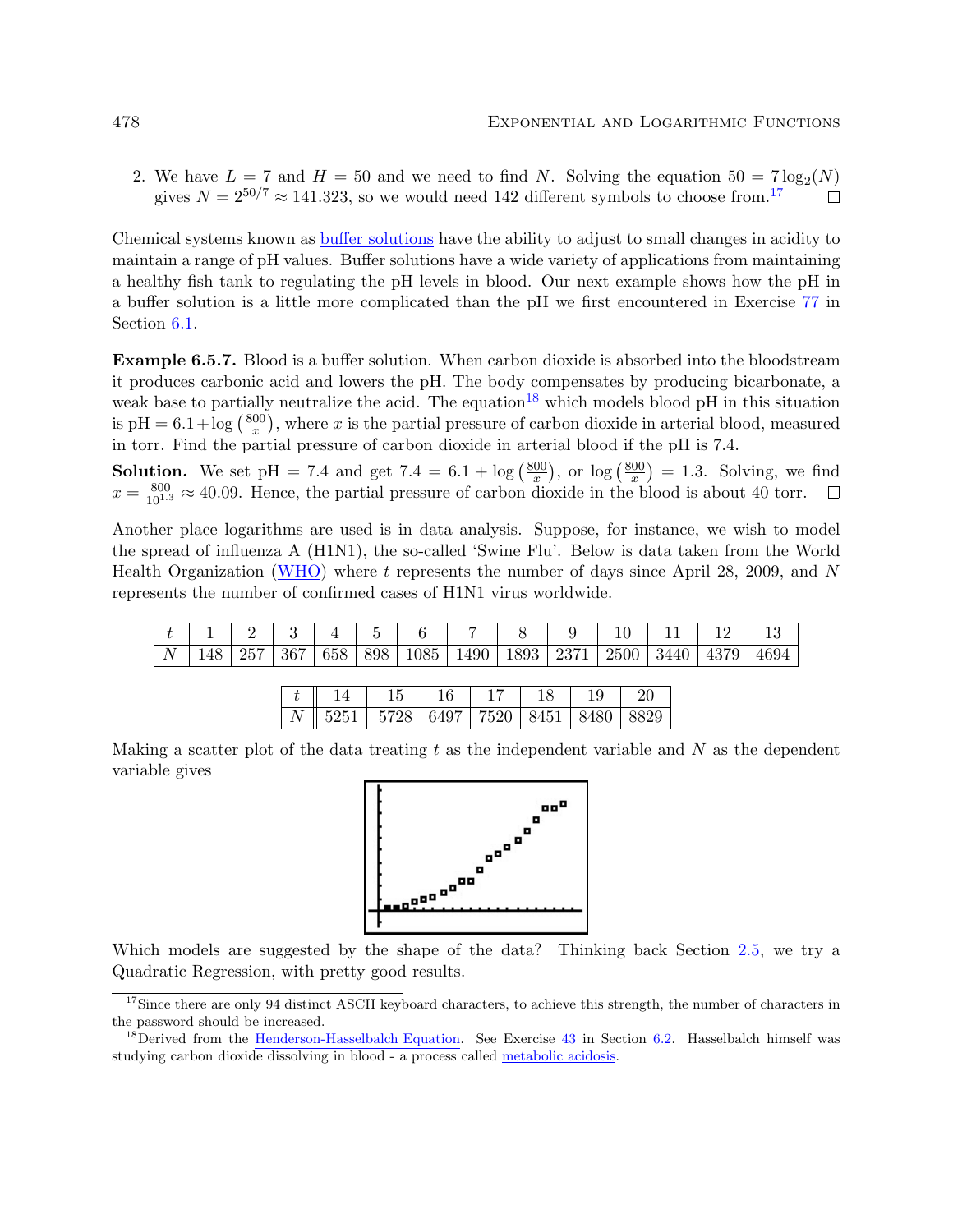2. We have  $L = 7$  and  $H = 50$  and we need to find N. Solving the equation  $50 = 7 \log_2(N)$ gives  $N = 2^{50/7} \approx 141.323$ , so we would need 142 different symbols to choose from.<sup>17</sup>  $\Box$ 

Chemical systems known as [buffer solutions](http://en.wikipedia.org/wiki/Buffer_solutions) have the ability to adjust to small changes in acidity to maintain a range of pH values. Buffer solutions have a wide variety of applications from maintaining a healthy fish tank to regulating the pH levels in blood. Our next example shows how the pH in a buffer solution is a little more complicated than the pH we first encountered in Exercise 77 in Section 6.1.

Example 6.5.7. Blood is a buffer solution. When carbon dioxide is absorbed into the bloodstream it produces carbonic acid and lowers the pH. The body compensates by producing bicarbonate, a weak base to partially neutralize the acid. The equation<sup>18</sup> which models blood pH in this situation is pH =  $6.1 + \log(\frac{800}{r})$  $\frac{00}{x}$ , where x is the partial pressure of carbon dioxide in arterial blood, measured in torr. Find the partial pressure of carbon dioxide in arterial blood if the pH is 7.4.

**Solution.** We set pH = 7.4 and get 7.4 =  $6.1 + \log(\frac{800}{x})$  $\frac{00}{x}$ , or  $\log\left(\frac{800}{x}\right)$  $\frac{00}{x}$  = 1.3. Solving, we find  $x = \frac{800}{10^{1.3}} \approx 40.09$ . Hence, the partial pressure of carbon dioxide in the blood is about 40 torr.

Another place logarithms are used is in data analysis. Suppose, for instance, we wish to model the spread of influenza A (H1N1), the so-called 'Swine Flu'. Below is data taken from the World Health Organization [\(WHO\)](http://www.who.int/csr/disease/swineflu/updates/en/index.html) where t represents the number of days since April 28, 2009, and N represents the number of confirmed cases of H1N1 virus worldwide.

| $\overline{N}$ | 148 | $+257$ | $+367$ | 658 | 898 | 1085 | 1490   1893 | $\mid$ 2371 $\mid$ | 2500 | $^{\circ}$ 3440 | 4379 | 4694 |
|----------------|-----|--------|--------|-----|-----|------|-------------|--------------------|------|-----------------|------|------|

|                                                                                          | $14 \parallel 15 \parallel 16 \parallel 17 \parallel 18$ |  | $\vert$ 19 | $\perp$ 20 |
|------------------------------------------------------------------------------------------|----------------------------------------------------------|--|------------|------------|
| $N \parallel 5251 \parallel 5728 \mid 6497 \mid 7520 \mid 8451 \mid 8480 \mid 8829 \mid$ |                                                          |  |            |            |

Making a scatter plot of the data treating  $t$  as the independent variable and  $N$  as the dependent variable gives



Which models are suggested by the shape of the data? Thinking back Section 2.5, we try a Quadratic Regression, with pretty good results.

<sup>&</sup>lt;sup>17</sup>Since there are only 94 distinct ASCII keyboard characters, to achieve this strength, the number of characters in the password should be increased.

 $18$ Derived from the [Henderson-Hasselbalch Equation.](http://en.wikipedia.org/wiki/Henderson-Hasselbalch_equation) See Exercise 43 in Section 6.2. Hasselbalch himself was studying carbon dioxide dissolving in blood - a process called [metabolic acidosis.](http://en.wikipedia.org/wiki/Metabolic_acidosis)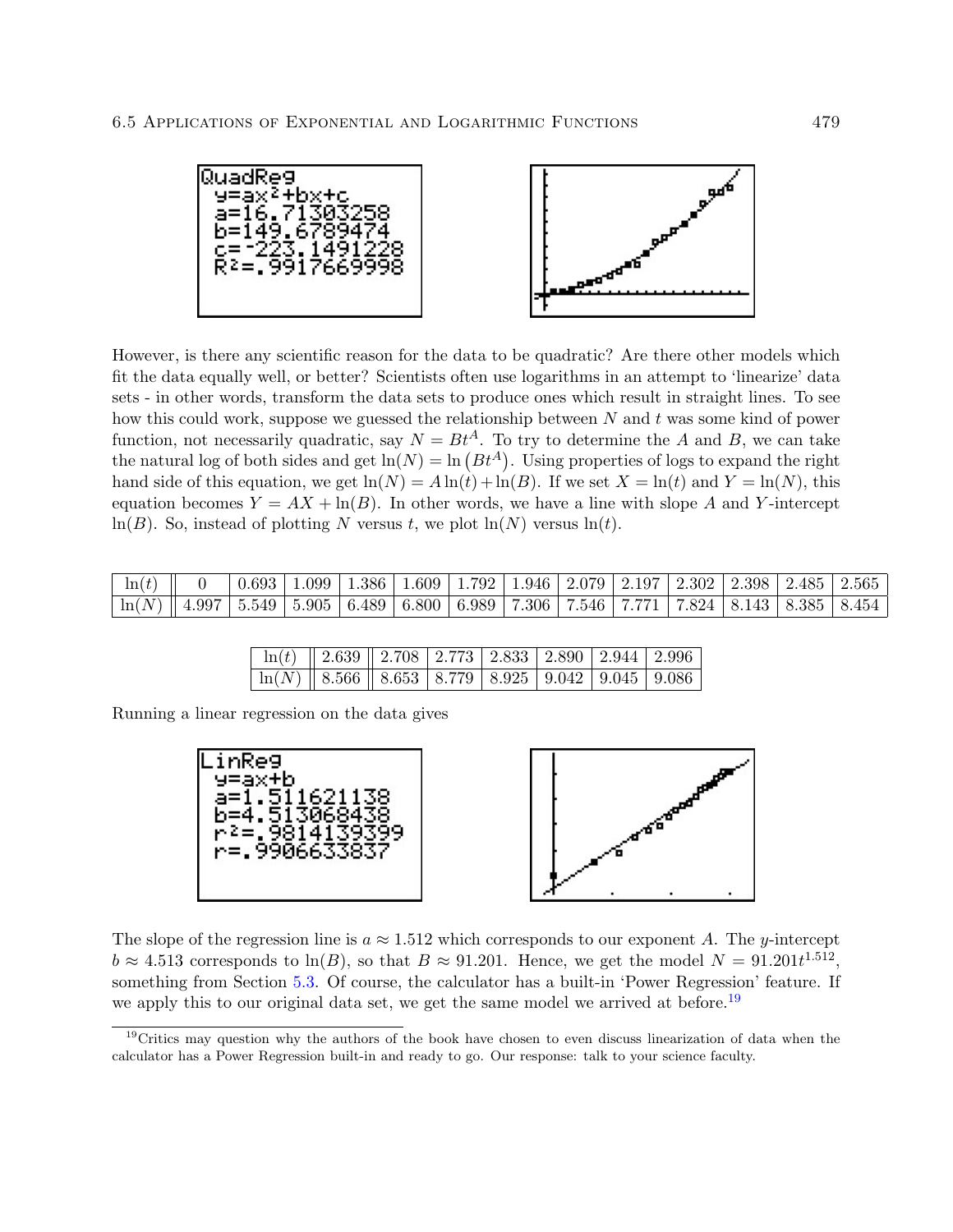

However, is there any scientific reason for the data to be quadratic? Are there other models which fit the data equally well, or better? Scientists often use logarithms in an attempt to 'linearize' data sets - in other words, transform the data sets to produce ones which result in straight lines. To see how this could work, suppose we guessed the relationship between  $N$  and  $t$  was some kind of power function, not necessarily quadratic, say  $N = Bt^A$ . To try to determine the A and B, we can take the natural log of both sides and get  $\ln(N) = \ln(Bt^A)$ . Using properties of logs to expand the right hand side of this equation, we get  $\ln(N) = A \ln(t) + \ln(B)$ . If we set  $X = \ln(t)$  and  $Y = \ln(N)$ , this equation becomes  $Y = AX + \ln(B)$ . In other words, we have a line with slope A and Y-intercept  $ln(B)$ . So, instead of plotting N versus t, we plot  $ln(N)$  versus  $ln(t)$ .

| $\left\  \begin{array}{c c} \ln(t) & 0 \end{array} \right\  = 0$                                                                                                  |  | $\mid 0.693 \mid 1.099 \mid 1.386 \mid 1.609 \mid 1.792 \mid 1.946 \mid 2.079 \mid 2.197 \mid 2.302 \mid 2.398 \mid 2.485 \mid 2.565$ |  |  |  |  |  |
|-------------------------------------------------------------------------------------------------------------------------------------------------------------------|--|---------------------------------------------------------------------------------------------------------------------------------------|--|--|--|--|--|
| $\mid \ln(N) \parallel 4.997 \mid 5.549 \mid 5.905 \mid 6.489 \mid 6.800 \mid 6.989 \mid 7.306 \mid 7.546 \mid 7.771 \mid 7.824 \mid 8.143 \mid 8.385 \mid 8.454$ |  |                                                                                                                                       |  |  |  |  |  |

|                                                           | $\ln(t)$   2.639   2.708   2.773   2.833   2.890   2.944   2.996 |  |  |  |
|-----------------------------------------------------------|------------------------------------------------------------------|--|--|--|
| $\boxed{\ln(N)$ 8.566 8.653 8.779 8.925 9.042 9.045 9.086 |                                                                  |  |  |  |

| Running a linear regression on the data gives |  |  |  |  |  |
|-----------------------------------------------|--|--|--|--|--|
|-----------------------------------------------|--|--|--|--|--|





The slope of the regression line is  $a \approx 1.512$  which corresponds to our exponent A. The y-intercept  $b \approx 4.513$  corresponds to  $\ln(B)$ , so that  $B \approx 91.201$ . Hence, we get the model  $N = 91.201t^{1.512}$ , something from Section 5.3. Of course, the calculator has a built-in 'Power Regression' feature. If we apply this to our original data set, we get the same model we arrived at before.<sup>19</sup>

<sup>&</sup>lt;sup>19</sup>Critics may question why the authors of the book have chosen to even discuss linearization of data when the calculator has a Power Regression built-in and ready to go. Our response: talk to your science faculty.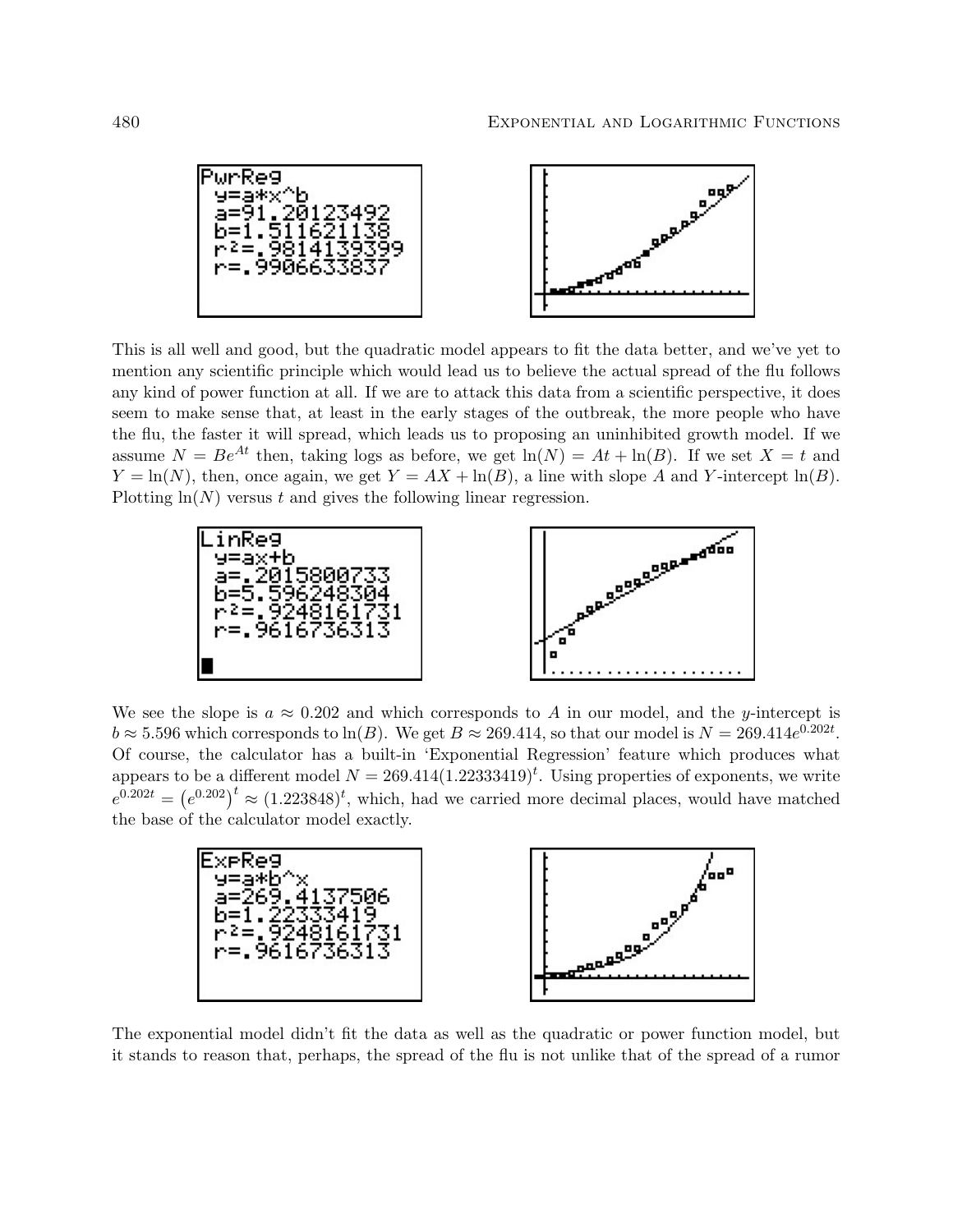



This is all well and good, but the quadratic model appears to fit the data better, and we've yet to mention any scientific principle which would lead us to believe the actual spread of the flu follows any kind of power function at all. If we are to attack this data from a scientific perspective, it does seem to make sense that, at least in the early stages of the outbreak, the more people who have the flu, the faster it will spread, which leads us to proposing an uninhibited growth model. If we assume  $N = Be^{At}$  then, taking logs as before, we get  $ln(N) = At + ln(B)$ . If we set  $X = t$  and  $Y = \ln(N)$ , then, once again, we get  $Y = AX + \ln(B)$ , a line with slope A and Y-intercept  $\ln(B)$ . Plotting  $ln(N)$  versus t and gives the following linear regression.



We see the slope is  $a \approx 0.202$  and which corresponds to A in our model, and the y-intercept is  $b \approx 5.596$  which corresponds to  $\ln(B)$ . We get  $B \approx 269.414$ , so that our model is  $N = 269.414e^{0.202t}$ . Of course, the calculator has a built-in 'Exponential Regression' feature which produces what appears to be a different model  $N = 269.414(1.22333419)^t$ . Using properties of exponents, we write  $e^{0.202t} = (e^{0.202})^t \approx (1.223848)^t$ , which, had we carried more decimal places, would have matched the base of the calculator model exactly.



The exponential model didn't fit the data as well as the quadratic or power function model, but it stands to reason that, perhaps, the spread of the flu is not unlike that of the spread of a rumor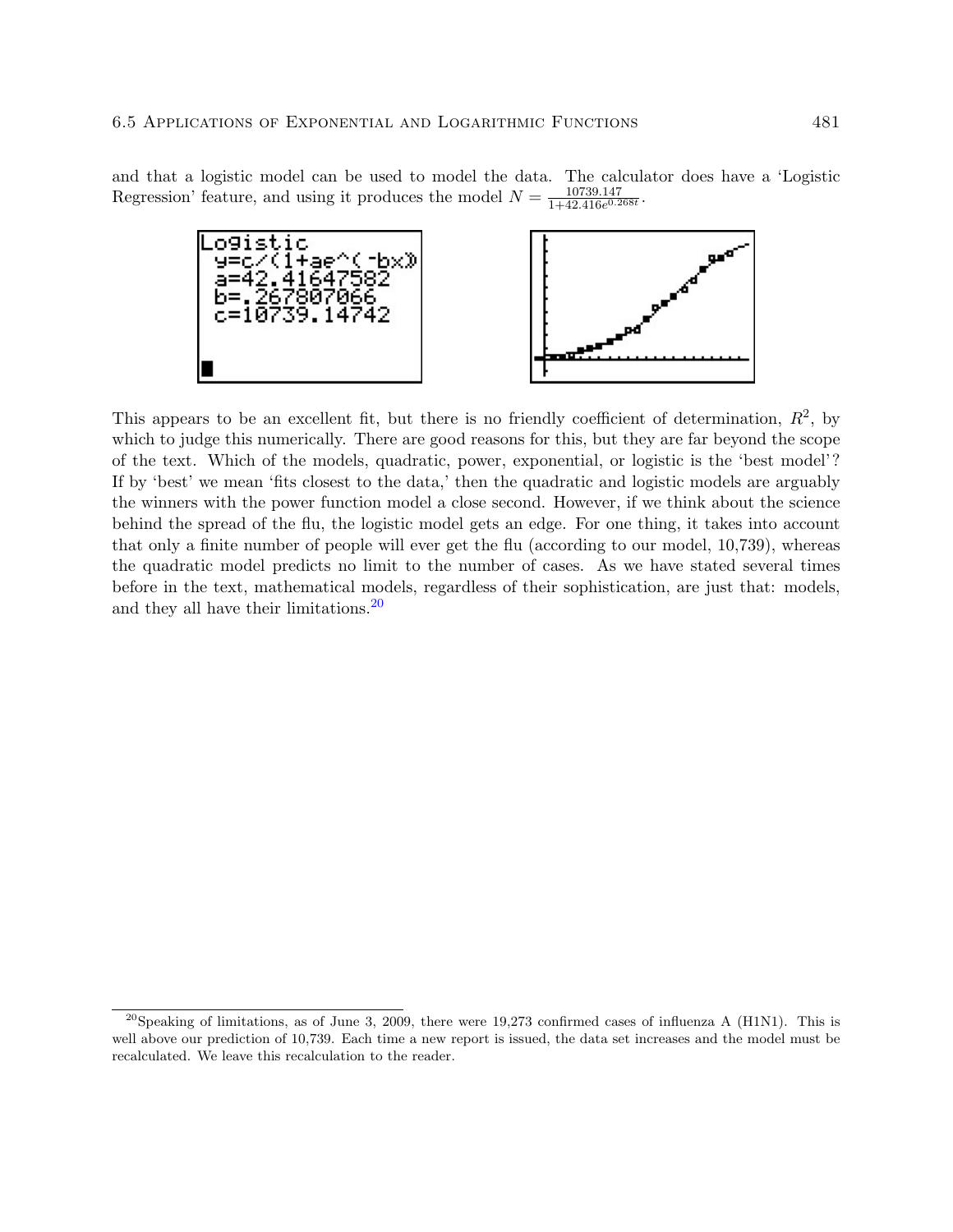and that a logistic model can be used to model the data. The calculator does have a 'Logistic Regression' feature, and using it produces the model  $N = \frac{10739.147}{1+42.416e^{0.2}}$  $\frac{10739.147}{1+42.416e^{0.268t}}.$ 



This appears to be an excellent fit, but there is no friendly coefficient of determination,  $R^2$ , by which to judge this numerically. There are good reasons for this, but they are far beyond the scope of the text. Which of the models, quadratic, power, exponential, or logistic is the 'best model'? If by 'best' we mean 'fits closest to the data,' then the quadratic and logistic models are arguably the winners with the power function model a close second. However, if we think about the science behind the spread of the flu, the logistic model gets an edge. For one thing, it takes into account that only a finite number of people will ever get the flu (according to our model, 10,739), whereas the quadratic model predicts no limit to the number of cases. As we have stated several times before in the text, mathematical models, regardless of their sophistication, are just that: models, and they all have their limitations.20

<sup>&</sup>lt;sup>20</sup>Speaking of limitations, as of June 3, 2009, there were 19,273 confirmed cases of influenza A (H1N1). This is well above our prediction of 10,739. Each time a new report is issued, the data set increases and the model must be recalculated. We leave this recalculation to the reader.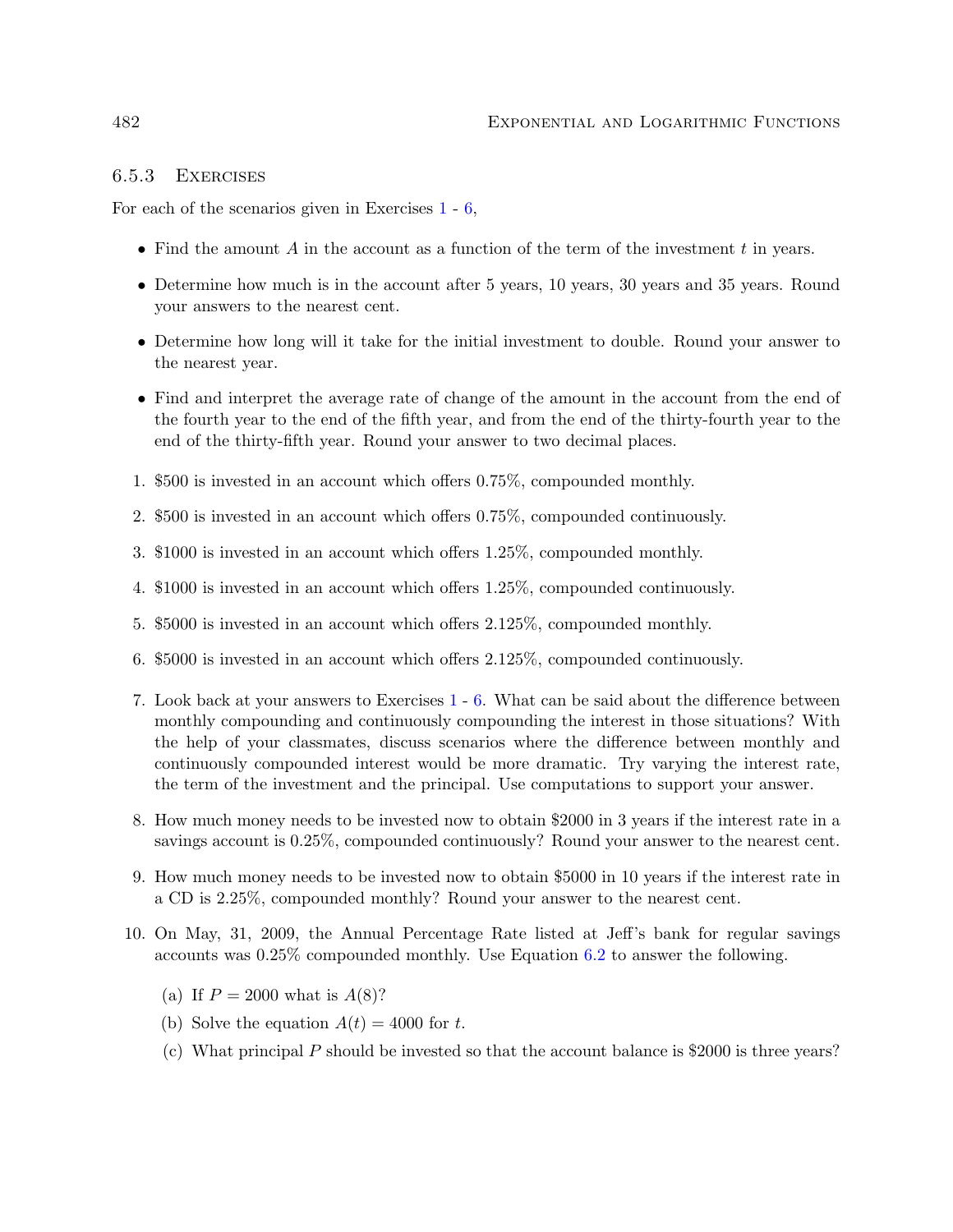### 6.5.3 Exercises

For each of the scenarios given in Exercises 1 - 6,

- Find the amount  $A$  in the account as a function of the term of the investment  $t$  in years.
- Determine how much is in the account after 5 years, 10 years, 30 years and 35 years. Round your answers to the nearest cent.
- Determine how long will it take for the initial investment to double. Round your answer to the nearest year.
- Find and interpret the average rate of change of the amount in the account from the end of the fourth year to the end of the fifth year, and from the end of the thirty-fourth year to the end of the thirty-fifth year. Round your answer to two decimal places.
- 1. \$500 is invested in an account which offers 0.75%, compounded monthly.
- 2. \$500 is invested in an account which offers 0.75%, compounded continuously.
- 3. \$1000 is invested in an account which offers 1.25%, compounded monthly.
- 4. \$1000 is invested in an account which offers 1.25%, compounded continuously.
- 5. \$5000 is invested in an account which offers 2.125%, compounded monthly.
- 6. \$5000 is invested in an account which offers 2.125%, compounded continuously.
- 7. Look back at your answers to Exercises 1 6. What can be said about the difference between monthly compounding and continuously compounding the interest in those situations? With the help of your classmates, discuss scenarios where the difference between monthly and continuously compounded interest would be more dramatic. Try varying the interest rate, the term of the investment and the principal. Use computations to support your answer.
- 8. How much money needs to be invested now to obtain \$2000 in 3 years if the interest rate in a savings account is 0.25%, compounded continuously? Round your answer to the nearest cent.
- 9. How much money needs to be invested now to obtain \$5000 in 10 years if the interest rate in a CD is 2.25%, compounded monthly? Round your answer to the nearest cent.
- 10. On May, 31, 2009, the Annual Percentage Rate listed at Jeff's bank for regular savings accounts was 0.25% compounded monthly. Use Equation 6.2 to answer the following.
	- (a) If  $P = 2000$  what is  $A(8)$ ?
	- (b) Solve the equation  $A(t) = 4000$  for t.
	- (c) What principal P should be invested so that the account balance is  $$2000$  is three years?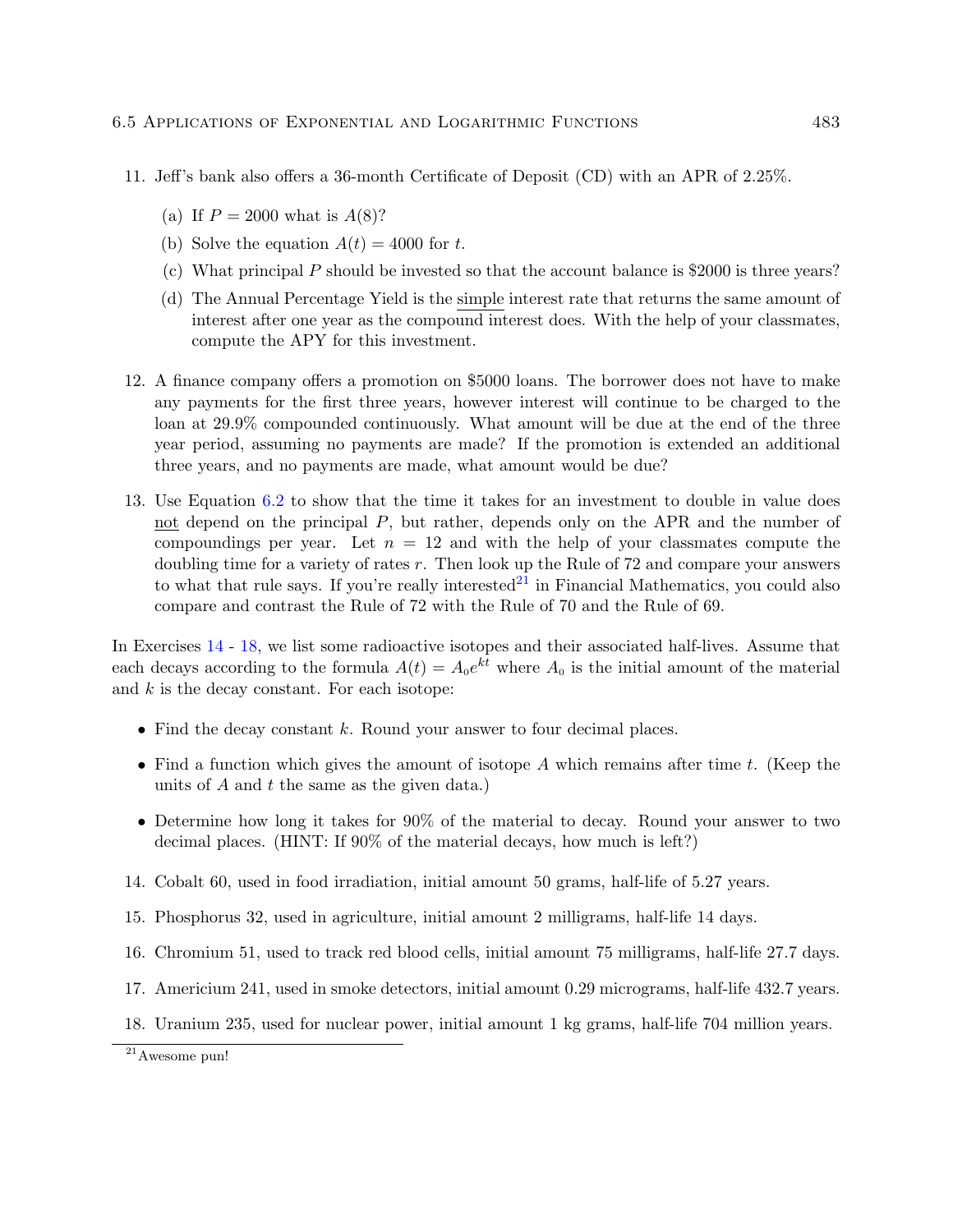- 11. Jeff's bank also offers a 36-month Certificate of Deposit (CD) with an APR of 2.25%.
	- (a) If  $P = 2000$  what is  $A(8)$ ?
	- (b) Solve the equation  $A(t) = 4000$  for t.
	- (c) What principal P should be invested so that the account balance is \$2000 is three years?
	- (d) The Annual Percentage Yield is the simple interest rate that returns the same amount of interest after one year as the compound interest does. With the help of your classmates, compute the APY for this investment.
- 12. A finance company offers a promotion on \$5000 loans. The borrower does not have to make any payments for the first three years, however interest will continue to be charged to the loan at 29.9% compounded continuously. What amount will be due at the end of the three year period, assuming no payments are made? If the promotion is extended an additional three years, and no payments are made, what amount would be due?
- 13. Use Equation 6.2 to show that the time it takes for an investment to double in value does not depend on the principal  $P$ , but rather, depends only on the APR and the number of compoundings per year. Let  $n = 12$  and with the help of your classmates compute the doubling time for a variety of rates  $r$ . Then look up the Rule of 72 and compare your answers to what that rule says. If you're really interested  $21$  in Financial Mathematics, you could also compare and contrast the Rule of 72 with the Rule of 70 and the Rule of 69.

In Exercises 14 - 18, we list some radioactive isotopes and their associated half-lives. Assume that each decays according to the formula  $A(t) = A_0 e^{kt}$  where  $A_0$  is the initial amount of the material and  $k$  is the decay constant. For each isotope:

- Find the decay constant  $k$ . Round your answer to four decimal places.
- Find a function which gives the amount of isotope  $A$  which remains after time t. (Keep the units of  $A$  and  $t$  the same as the given data.)
- Determine how long it takes for 90% of the material to decay. Round your answer to two decimal places. (HINT: If 90% of the material decays, how much is left?)
- 14. Cobalt 60, used in food irradiation, initial amount 50 grams, half-life of 5.27 years.
- 15. Phosphorus 32, used in agriculture, initial amount 2 milligrams, half-life 14 days.
- 16. Chromium 51, used to track red blood cells, initial amount 75 milligrams, half-life 27.7 days.
- 17. Americium 241, used in smoke detectors, initial amount 0.29 micrograms, half-life 432.7 years.
- 18. Uranium 235, used for nuclear power, initial amount 1 kg grams, half-life 704 million years.

 $\overline{^{21}}$ Awesome pun!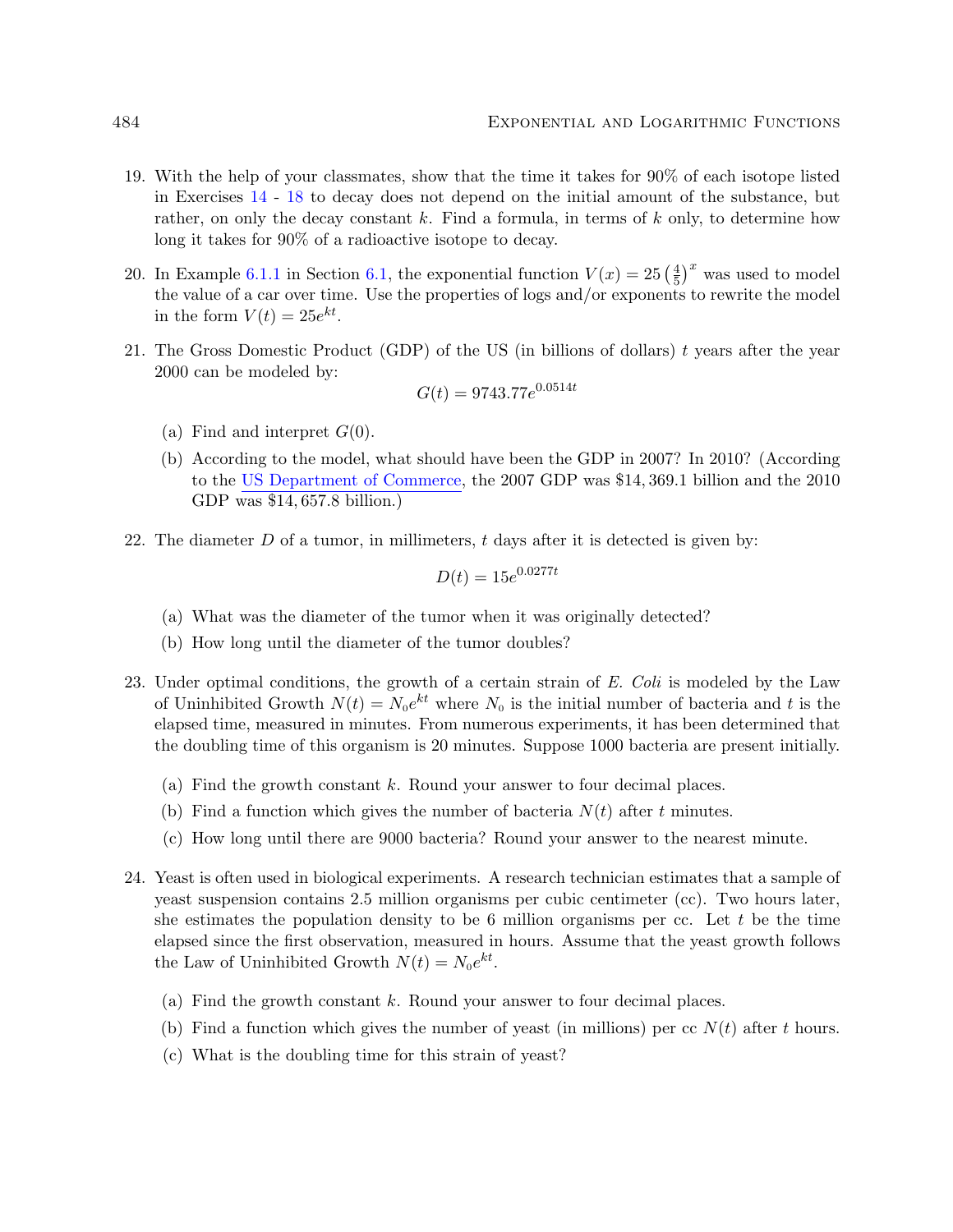- 19. With the help of your classmates, show that the time it takes for 90% of each isotope listed in Exercises 14 - 18 to decay does not depend on the initial amount of the substance, but rather, on only the decay constant k. Find a formula, in terms of k only, to determine how long it takes for 90% of a radioactive isotope to decay.
- 20. In Example 6.1.1 in Section 6.1, the exponential function  $V(x) = 25 \left(\frac{4}{5}\right)$  $\left(\frac{4}{5}\right)^x$  was used to model the value of a car over time. Use the properties of logs and/or exponents to rewrite the model in the form  $V(t) = 25e^{kt}$ .
- 21. The Gross Domestic Product (GDP) of the US (in billions of dollars)  $t$  years after the year 2000 can be modeled by:

$$
G(t) = 9743.77e^{0.0514t}
$$

- (a) Find and interpret  $G(0)$ .
- (b) According to the model, what should have been the GDP in 2007? In 2010? (According to the [US Department of Commerce,](http://1.usa.gov/iimT40) the 2007 GDP was \$14, 369.1 billion and the 2010 GDP was \$14, 657.8 billion.)
- 22. The diameter  $D$  of a tumor, in millimeters,  $t$  days after it is detected is given by:

$$
D(t) = 15e^{0.0277t}
$$

- (a) What was the diameter of the tumor when it was originally detected?
- (b) How long until the diameter of the tumor doubles?
- 23. Under optimal conditions, the growth of a certain strain of E. Coli is modeled by the Law of Uninhibited Growth  $N(t) = N_0 e^{kt}$  where  $N_0$  is the initial number of bacteria and t is the elapsed time, measured in minutes. From numerous experiments, it has been determined that the doubling time of this organism is 20 minutes. Suppose 1000 bacteria are present initially.
	- (a) Find the growth constant k. Round your answer to four decimal places.
	- (b) Find a function which gives the number of bacteria  $N(t)$  after t minutes.
	- (c) How long until there are 9000 bacteria? Round your answer to the nearest minute.
- 24. Yeast is often used in biological experiments. A research technician estimates that a sample of yeast suspension contains 2.5 million organisms per cubic centimeter (cc). Two hours later, she estimates the population density to be 6 million organisms per cc. Let t be the time elapsed since the first observation, measured in hours. Assume that the yeast growth follows the Law of Uninhibited Growth  $N(t) = N_0 e^{kt}$ .
	- (a) Find the growth constant  $k$ . Round your answer to four decimal places.
	- (b) Find a function which gives the number of yeast (in millions) per cc  $N(t)$  after t hours.
	- (c) What is the doubling time for this strain of yeast?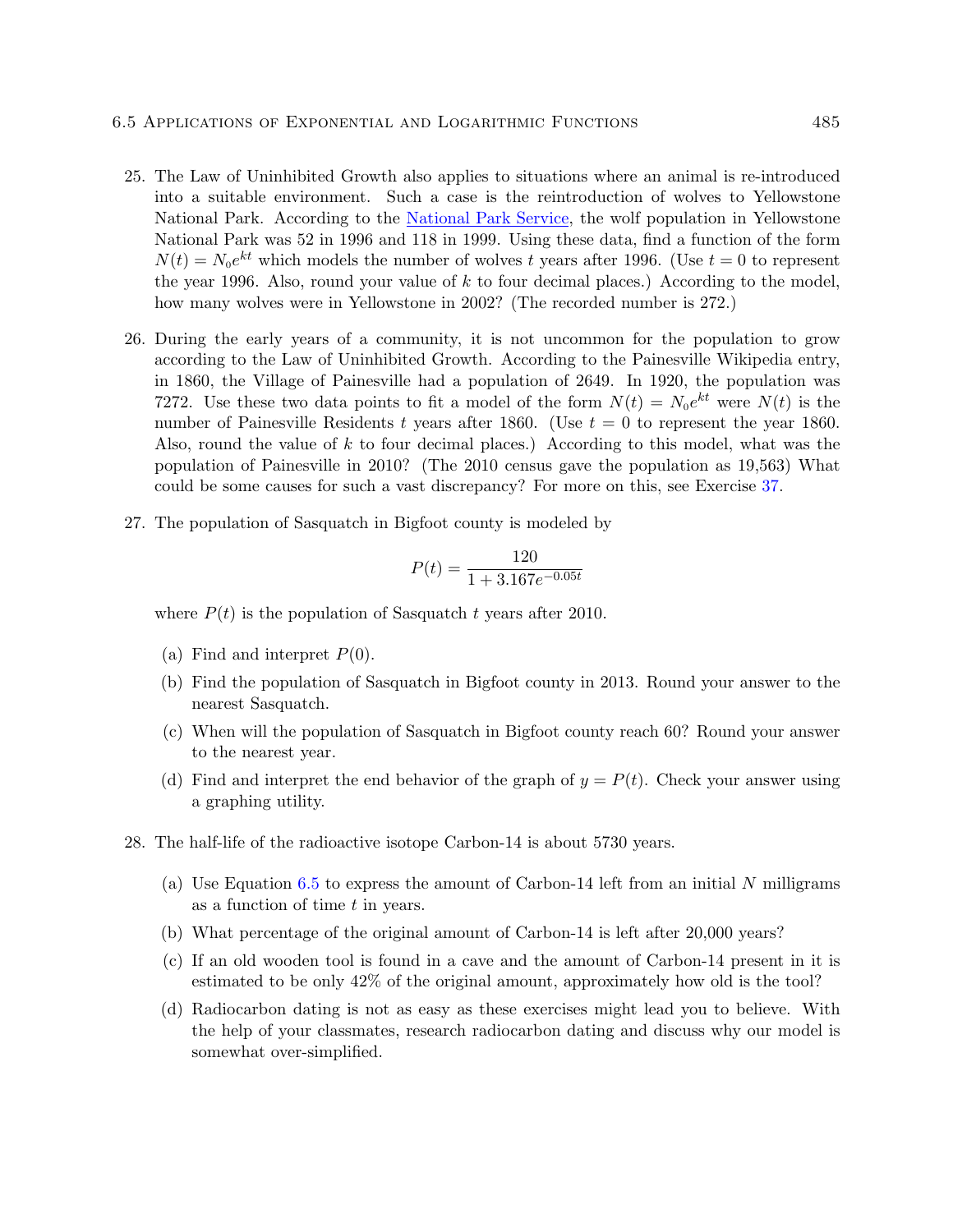- 25. The Law of Uninhibited Growth also applies to situations where an animal is re-introduced into a suitable environment. Such a case is the reintroduction of wolves to Yellowstone National Park. According to the [National Park Service,](http://www.nps.gov/yell/naturescience/wolves.htm) the wolf population in Yellowstone National Park was 52 in 1996 and 118 in 1999. Using these data, find a function of the form  $N(t) = N_0 e^{kt}$  which models the number of wolves t years after 1996. (Use  $t = 0$  to represent the year 1996. Also, round your value of  $k$  to four decimal places.) According to the model, how many wolves were in Yellowstone in 2002? (The recorded number is 272.)
- 26. During the early years of a community, it is not uncommon for the population to grow according to the Law of Uninhibited Growth. According to the Painesville Wikipedia entry, in 1860, the Village of Painesville had a population of 2649. In 1920, the population was 7272. Use these two data points to fit a model of the form  $N(t) = N_0 e^{kt}$  were  $N(t)$  is the number of Painesville Residents t years after 1860. (Use  $t = 0$  to represent the year 1860. Also, round the value of  $k$  to four decimal places.) According to this model, what was the population of Painesville in 2010? (The 2010 census gave the population as 19,563) What could be some causes for such a vast discrepancy? For more on this, see Exercise 37.
- 27. The population of Sasquatch in Bigfoot county is modeled by

$$
P(t) = \frac{120}{1 + 3.167e^{-0.05t}}
$$

where  $P(t)$  is the population of Sasquatch t years after 2010.

- (a) Find and interpret  $P(0)$ .
- (b) Find the population of Sasquatch in Bigfoot county in 2013. Round your answer to the nearest Sasquatch.
- (c) When will the population of Sasquatch in Bigfoot county reach 60? Round your answer to the nearest year.
- (d) Find and interpret the end behavior of the graph of  $y = P(t)$ . Check your answer using a graphing utility.
- 28. The half-life of the radioactive isotope Carbon-14 is about 5730 years.
	- (a) Use Equation  $6.5$  to express the amount of Carbon-14 left from an initial N milligrams as a function of time  $t$  in years.
	- (b) What percentage of the original amount of Carbon-14 is left after 20,000 years?
	- (c) If an old wooden tool is found in a cave and the amount of Carbon-14 present in it is estimated to be only 42% of the original amount, approximately how old is the tool?
	- (d) Radiocarbon dating is not as easy as these exercises might lead you to believe. With the help of your classmates, research radiocarbon dating and discuss why our model is somewhat over-simplified.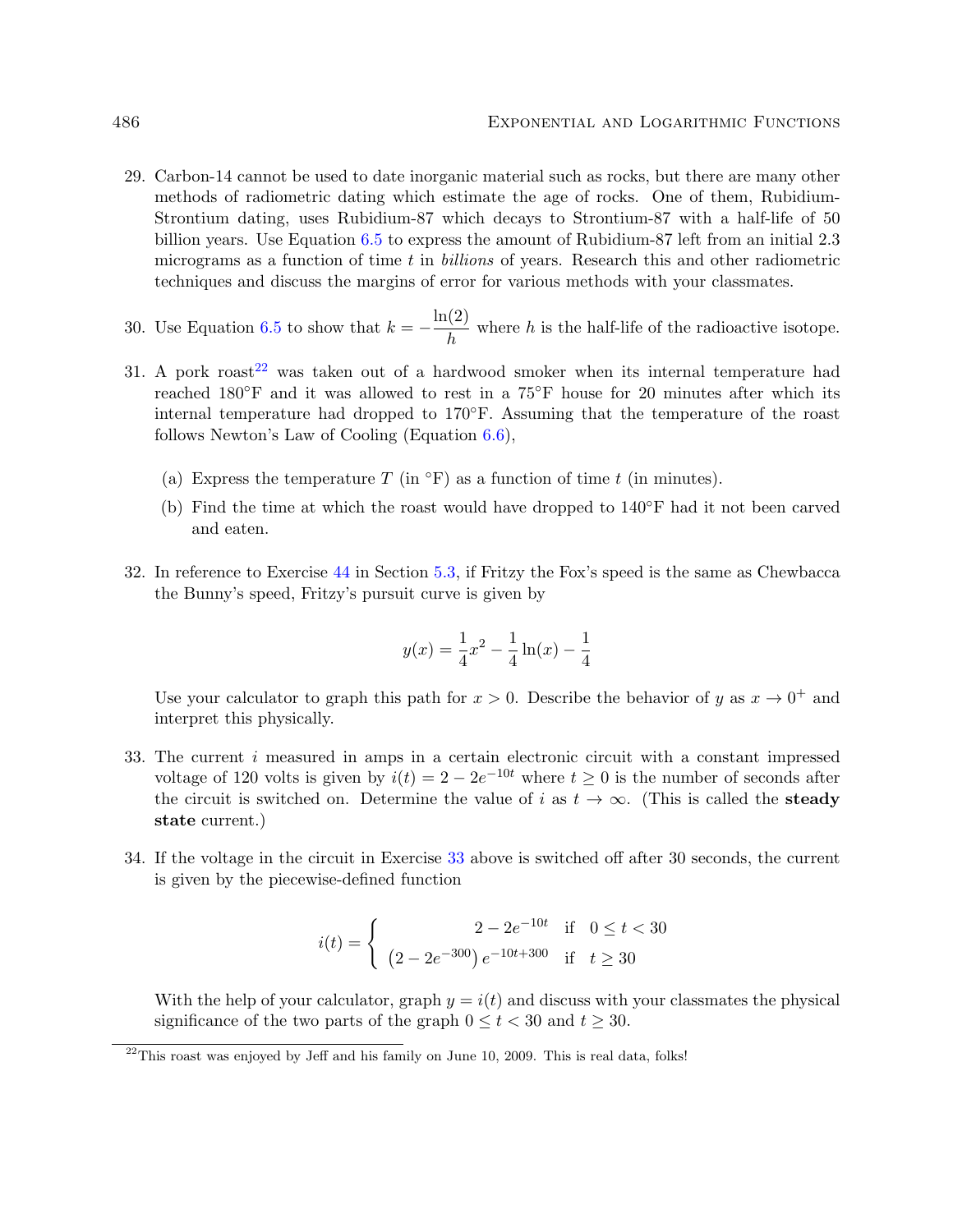- 29. Carbon-14 cannot be used to date inorganic material such as rocks, but there are many other methods of radiometric dating which estimate the age of rocks. One of them, Rubidium-Strontium dating, uses Rubidium-87 which decays to Strontium-87 with a half-life of 50 billion years. Use Equation 6.5 to express the amount of Rubidium-87 left from an initial 2.3 micrograms as a function of time t in billions of years. Research this and other radiometric techniques and discuss the margins of error for various methods with your classmates.
- 30. Use Equation 6.5 to show that  $k = -\frac{\ln(2)}{l}$  $\frac{\sqrt{2}}{h}$  where h is the half-life of the radioactive isotope.
- 31. A pork roast<sup>22</sup> was taken out of a hardwood smoker when its internal temperature had reached 180◦F and it was allowed to rest in a 75◦F house for 20 minutes after which its internal temperature had dropped to 170◦F. Assuming that the temperature of the roast follows Newton's Law of Cooling (Equation 6.6),
	- (a) Express the temperature T (in  $\mathrm{^{\circ}F}$ ) as a function of time t (in minutes).
	- (b) Find the time at which the roast would have dropped to  $140°$ F had it not been carved and eaten.
- 32. In reference to Exercise 44 in Section 5.3, if Fritzy the Fox's speed is the same as Chewbacca the Bunny's speed, Fritzy's pursuit curve is given by

$$
y(x) = \frac{1}{4}x^2 - \frac{1}{4}\ln(x) - \frac{1}{4}
$$

Use your calculator to graph this path for  $x > 0$ . Describe the behavior of y as  $x \to 0^+$  and interpret this physically.

- 33. The current  $i$  measured in amps in a certain electronic circuit with a constant impressed voltage of 120 volts is given by  $i(t) = 2 - 2e^{-10t}$  where  $t \ge 0$  is the number of seconds after the circuit is switched on. Determine the value of i as  $t \to \infty$ . (This is called the **steady** state current.)
- 34. If the voltage in the circuit in Exercise 33 above is switched off after 30 seconds, the current is given by the piecewise-defined function

$$
i(t) = \begin{cases} 2 - 2e^{-10t} & \text{if } 0 \le t < 30\\ (2 - 2e^{-300}) e^{-10t + 300} & \text{if } t \ge 30 \end{cases}
$$

With the help of your calculator, graph  $y = i(t)$  and discuss with your classmates the physical significance of the two parts of the graph  $0 \le t \le 30$  and  $t \ge 30$ .

 $22$ This roast was enjoyed by Jeff and his family on June 10, 2009. This is real data, folks!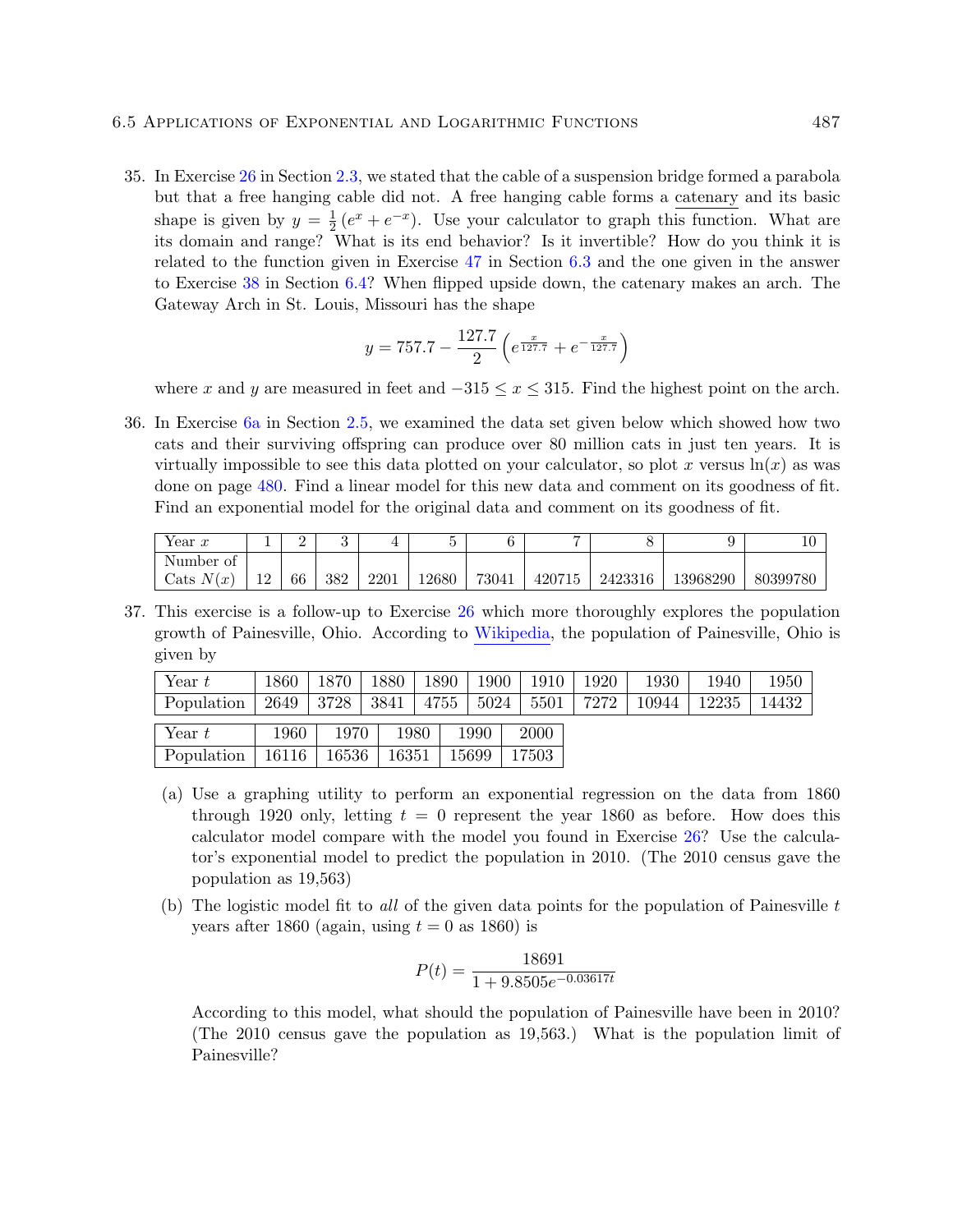#### 6.5 Applications of Exponential and Logarithmic Functions 487

35. In Exercise 26 in Section 2.3, we stated that the cable of a suspension bridge formed a parabola but that a free hanging cable did not. A free hanging cable forms a catenary and its basic shape is given by  $y = \frac{1}{2}$  $\frac{1}{2}(e^x + e^{-x})$ . Use your calculator to graph this function. What are its domain and range? What is its end behavior? Is it invertible? How do you think it is related to the function given in Exercise 47 in Section 6.3 and the one given in the answer to Exercise 38 in Section 6.4? When flipped upside down, the catenary makes an arch. The Gateway Arch in St. Louis, Missouri has the shape

$$
y = 757.7 - \frac{127.7}{2} \left( e^{\frac{x}{127.7}} + e^{-\frac{x}{127.7}} \right)
$$

where x and y are measured in feet and  $-315 \le x \le 315$ . Find the highest point on the arch.

36. In Exercise 6a in Section 2.5, we examined the data set given below which showed how two cats and their surviving offspring can produce over 80 million cats in just ten years. It is virtually impossible to see this data plotted on your calculator, so plot x versus  $\ln(x)$  as was done on page 480. Find a linear model for this new data and comment on its goodness of fit. Find an exponential model for the original data and comment on its goodness of fit.

| $^{x}$ ear $\boldsymbol{x}$ | ᅩ         | -  |     |      |       |       | -      |         |          |          |
|-----------------------------|-----------|----|-----|------|-------|-------|--------|---------|----------|----------|
| Number<br>Οİ                |           |    |     |      |       |       |        |         |          |          |
| N(<br>Cats<br>$\sqrt{ }$    | 1 ດ<br>14 | 66 | 382 | 2201 | 12680 | 73041 | 420715 | 2423316 | 13968290 | 80399780 |

37. This exercise is a follow-up to Exercise 26 which more thoroughly explores the population growth of Painesville, Ohio. According to [Wikipedia,](http://en.wikipedia.org/wiki/Painesville) the population of Painesville, Ohio is given by

| Year $t$   | 1860  | 1870  | 1880  | 1890 | 1900  | 1910  | 1920 | 1930  | 1940  | 1950  |
|------------|-------|-------|-------|------|-------|-------|------|-------|-------|-------|
| Population | 2649  | 3728  | 3841  | 4755 | 5024  | 5501  | 7272 | 10944 | 12235 | 14432 |
| Year $t$   | 1960  | 1970  | 1980  |      | 1990  | 2000  |      |       |       |       |
| Population | 16116 | 16536 | 16351 |      | 15699 | 17503 |      |       |       |       |

- (a) Use a graphing utility to perform an exponential regression on the data from 1860 through 1920 only, letting  $t = 0$  represent the year 1860 as before. How does this calculator model compare with the model you found in Exercise 26? Use the calculator's exponential model to predict the population in 2010. (The 2010 census gave the population as 19,563)
- (b) The logistic model fit to all of the given data points for the population of Painesville  $t$ years after 1860 (again, using  $t = 0$  as 1860) is

$$
P(t) = \frac{18691}{1 + 9.8505e^{-0.03617t}}
$$

According to this model, what should the population of Painesville have been in 2010? (The 2010 census gave the population as 19,563.) What is the population limit of Painesville?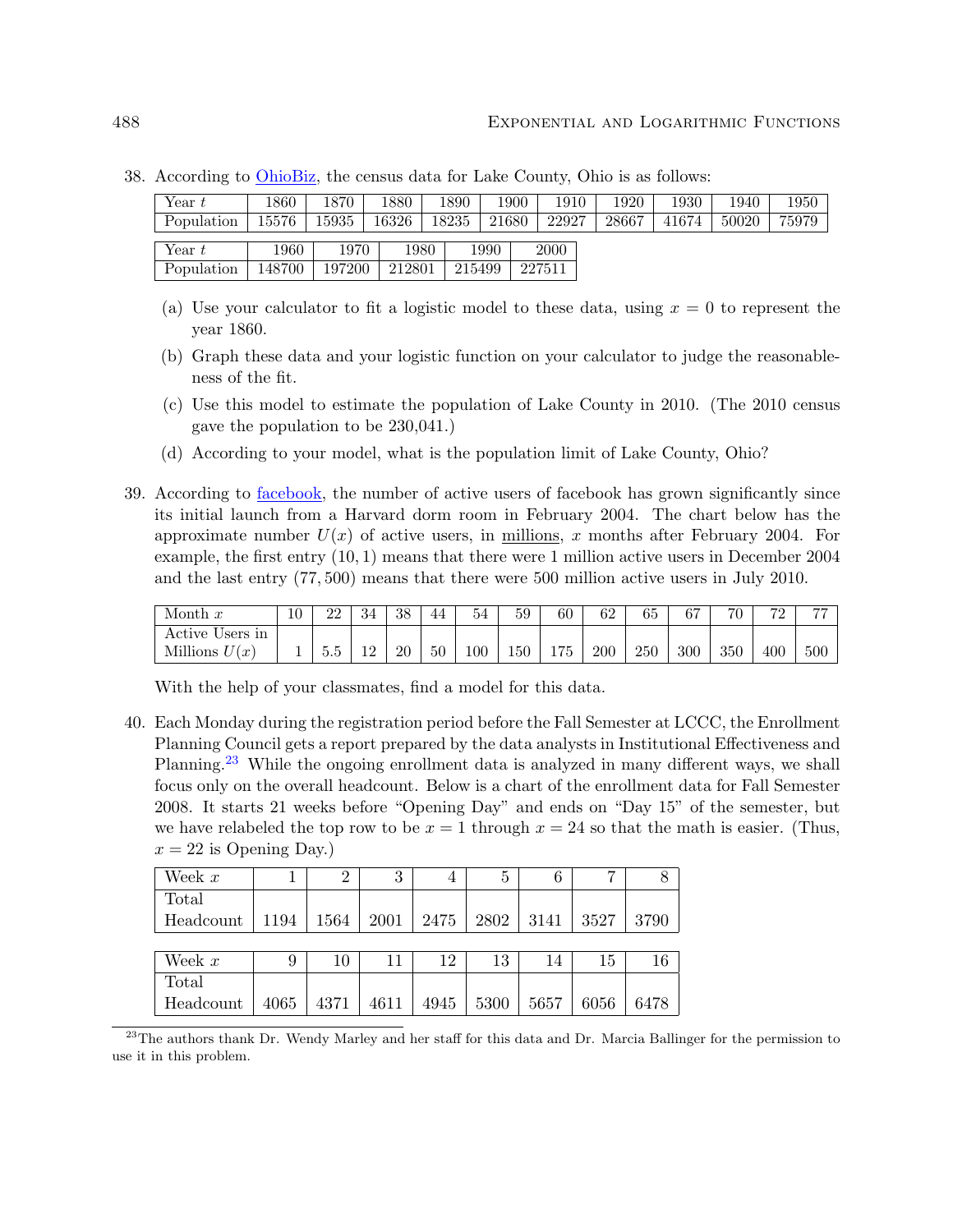| Year $t$   | 1860   | 1870   | 1880   | 1890  | 1900   | 1910   | 1920  | 1930  | 1940  | 1950  |
|------------|--------|--------|--------|-------|--------|--------|-------|-------|-------|-------|
| Population | 15576  | 15935  | 16326  | 18235 | 21680  | 22927  | 28667 | 41674 | 50020 | 75979 |
| Year $t$   | 1960   | 1970   | 1980   |       | 1990   | 2000   |       |       |       |       |
| Population | 148700 | 197200 | 212801 |       | 215499 | 227511 |       |       |       |       |

38. According to [OhioBiz,](http://www.ohiobiz.com/census/Lake.pdf) the census data for Lake County, Ohio is as follows:

- (a) Use your calculator to fit a logistic model to these data, using  $x = 0$  to represent the year 1860.
- (b) Graph these data and your logistic function on your calculator to judge the reasonableness of the fit.
- (c) Use this model to estimate the population of Lake County in 2010. (The 2010 census gave the population to be 230,041.)
- (d) According to your model, what is the population limit of Lake County, Ohio?
- 39. According to [facebook,](http://www.facebook.com/press/info.php?timeline) the number of active users of facebook has grown significantly since its initial launch from a Harvard dorm room in February 2004. The chart below has the approximate number  $U(x)$  of active users, in millions, x months after February 2004. For example, the first entry (10, 1) means that there were 1 million active users in December 2004 and the last entry (77, 500) means that there were 500 million active users in July 2010.

| Month $x$          | 10 | ററ<br>44 | -54 | 38 | 44 | 54      | 59  | 60  | 62  | 65  | $\sim$ | 70  | 170 | $\overline{a}$ |
|--------------------|----|----------|-----|----|----|---------|-----|-----|-----|-----|--------|-----|-----|----------------|
| Active<br>Users in |    |          |     |    |    |         |     |     |     |     |        |     |     |                |
| Millions<br>(x)    |    | ಲ.ಲ      |     | 20 | 50 | $100\,$ | 150 | 175 | 200 | 250 | 300    | 350 | 400 | 500            |

With the help of your classmates, find a model for this data.

40. Each Monday during the registration period before the Fall Semester at LCCC, the Enrollment Planning Council gets a report prepared by the data analysts in Institutional Effectiveness and Planning.<sup>23</sup> While the ongoing enrollment data is analyzed in many different ways, we shall focus only on the overall headcount. Below is a chart of the enrollment data for Fall Semester 2008. It starts 21 weeks before "Opening Day" and ends on "Day 15" of the semester, but we have relabeled the top row to be  $x = 1$  through  $x = 24$  so that the math is easier. (Thus,  $x = 22$  is Opening Day.)

| Week $x$  |      |      | 3    | 4    | 5    | 6    |      |      |
|-----------|------|------|------|------|------|------|------|------|
| Total     |      |      |      |      |      |      |      |      |
| Headcount | 1194 | 1564 | 2001 | 2475 | 2802 | 3141 | 3527 | 3790 |
|           |      |      |      |      |      |      |      |      |
| Week $x$  | 9    | 10   | 11   | 12   | 13   | 14   | 15   | 16   |
| Total     |      |      |      |      |      |      |      |      |
| Headcount | 4065 | 4371 | 4611 | 4945 | 5300 | 5657 | 6056 | 6478 |

<sup>23</sup>The authors thank Dr. Wendy Marley and her staff for this data and Dr. Marcia Ballinger for the permission to use it in this problem.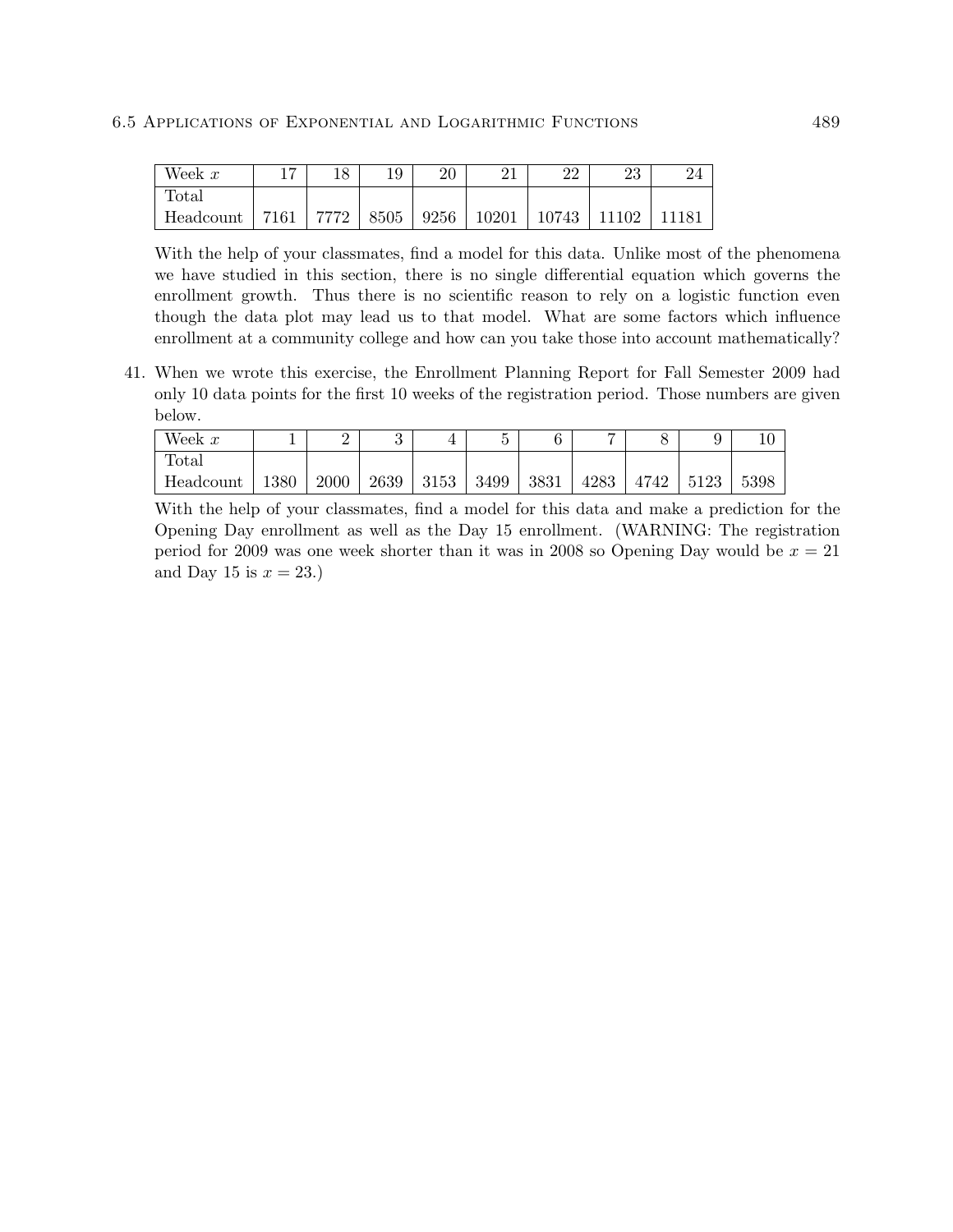| Week $x$  | $\overline{ }$ |  | റ∩ | ດດ                                         | າາ<br>∠ເປ |       |
|-----------|----------------|--|----|--------------------------------------------|-----------|-------|
| Total     |                |  |    |                                            |           |       |
| Headcount | 7161           |  |    | 7772   8505   9256   10201   10743   11102 |           | 11181 |

With the help of your classmates, find a model for this data. Unlike most of the phenomena we have studied in this section, there is no single differential equation which governs the enrollment growth. Thus there is no scientific reason to rely on a logistic function even though the data plot may lead us to that model. What are some factors which influence enrollment at a community college and how can you take those into account mathematically?

41. When we wrote this exercise, the Enrollment Planning Report for Fall Semester 2009 had only 10 data points for the first 10 weeks of the registration period. Those numbers are given below.

| Week $x$  |      | ∸    |      |      | -    |      | −    | ∽    |      |      |
|-----------|------|------|------|------|------|------|------|------|------|------|
| Total     |      |      |      |      |      |      |      |      |      |      |
| Headcount | 1380 | 2000 | 2639 | 3153 | 3499 | 3831 | 4283 | 4742 | 5123 | 5398 |

With the help of your classmates, find a model for this data and make a prediction for the Opening Day enrollment as well as the Day 15 enrollment. (WARNING: The registration period for 2009 was one week shorter than it was in 2008 so Opening Day would be  $x = 21$ and Day 15 is  $x = 23$ .)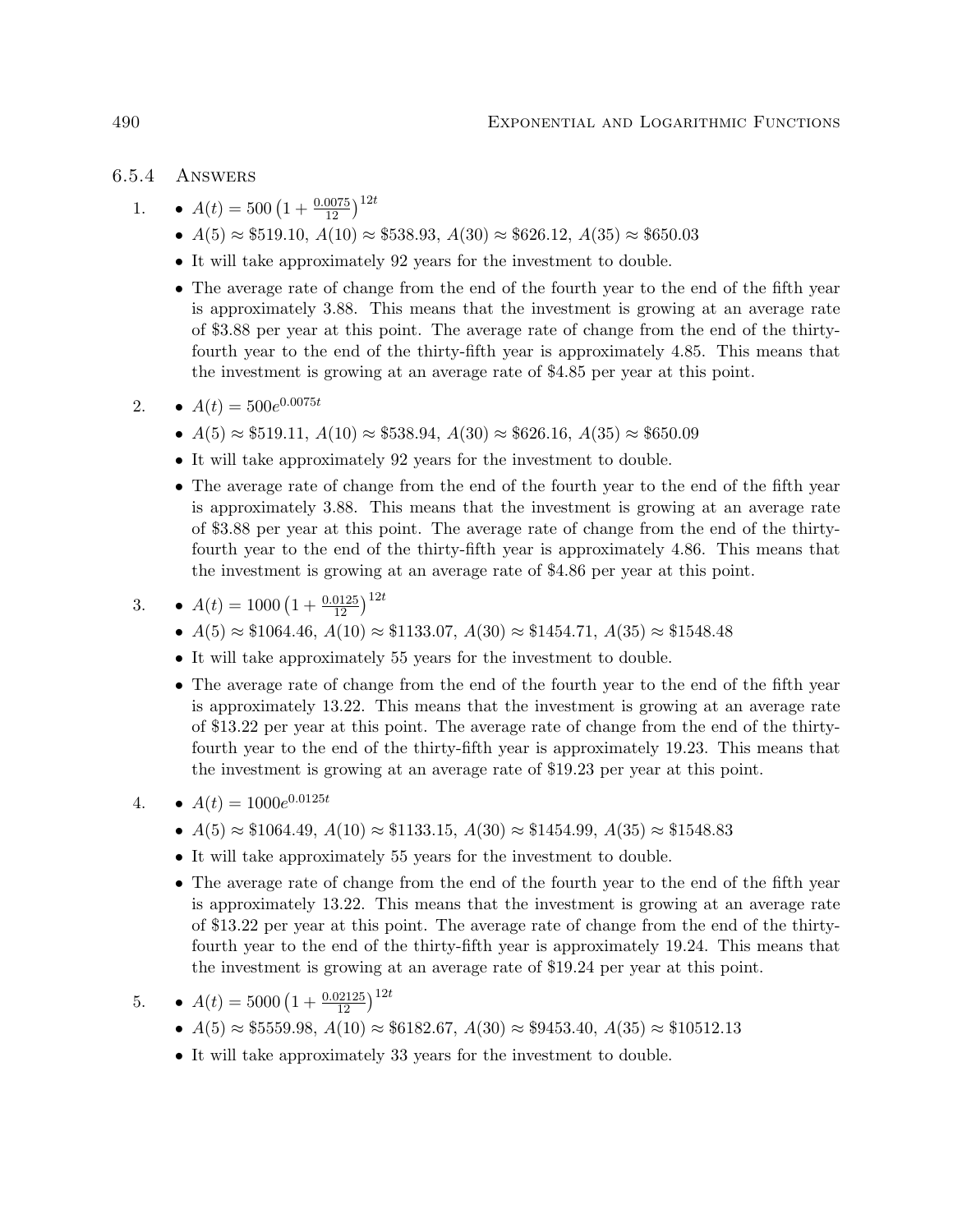# 6.5.4 Answers

- 1.  $A(t) = 500 \left(1 + \frac{0.0075}{12}\right)^{12t}$ 
	- $A(5) \approx $519.10, A(10) \approx $538.93, A(30) \approx $626.12, A(35) \approx $650.03$
	- It will take approximately 92 years for the investment to double.
	- The average rate of change from the end of the fourth year to the end of the fifth year is approximately 3.88. This means that the investment is growing at an average rate of \$3.88 per year at this point. The average rate of change from the end of the thirtyfourth year to the end of the thirty-fifth year is approximately 4.85. This means that the investment is growing at an average rate of \$4.85 per year at this point.
- 2.  $A(t) = 500e^{0.0075t}$ 
	- $A(5) \approx $519.11, A(10) \approx $538.94, A(30) \approx $626.16, A(35) \approx $650.09$
	- It will take approximately 92 years for the investment to double.
	- The average rate of change from the end of the fourth year to the end of the fifth year is approximately 3.88. This means that the investment is growing at an average rate of \$3.88 per year at this point. The average rate of change from the end of the thirtyfourth year to the end of the thirty-fifth year is approximately 4.86. This means that the investment is growing at an average rate of \$4.86 per year at this point.

3. 
$$
A(t) = 1000 \left(1 + \frac{0.0125}{12}\right)^{12t}
$$

- $A(5) \approx $1064.46, A(10) \approx $1133.07, A(30) \approx $1454.71, A(35) \approx $1548.48$
- It will take approximately 55 years for the investment to double.
- The average rate of change from the end of the fourth year to the end of the fifth year is approximately 13.22. This means that the investment is growing at an average rate of \$13.22 per year at this point. The average rate of change from the end of the thirtyfourth year to the end of the thirty-fifth year is approximately 19.23. This means that the investment is growing at an average rate of \$19.23 per year at this point.
- 4.  $A(t) = 1000e^{0.0125t}$ 
	- $A(5) \approx $1064.49, A(10) \approx $1133.15, A(30) \approx $1454.99, A(35) \approx $1548.83$
	- It will take approximately 55 years for the investment to double.
	- The average rate of change from the end of the fourth year to the end of the fifth year is approximately 13.22. This means that the investment is growing at an average rate of \$13.22 per year at this point. The average rate of change from the end of the thirtyfourth year to the end of the thirty-fifth year is approximately 19.24. This means that the investment is growing at an average rate of \$19.24 per year at this point.

5. 
$$
A(t) = 5000 \left(1 + \frac{0.02125}{12}\right)^{12t}
$$

- $A(5) \approx $5559.98, A(10) \approx $6182.67, A(30) \approx $9453.40, A(35) \approx $10512.13$
- It will take approximately 33 years for the investment to double.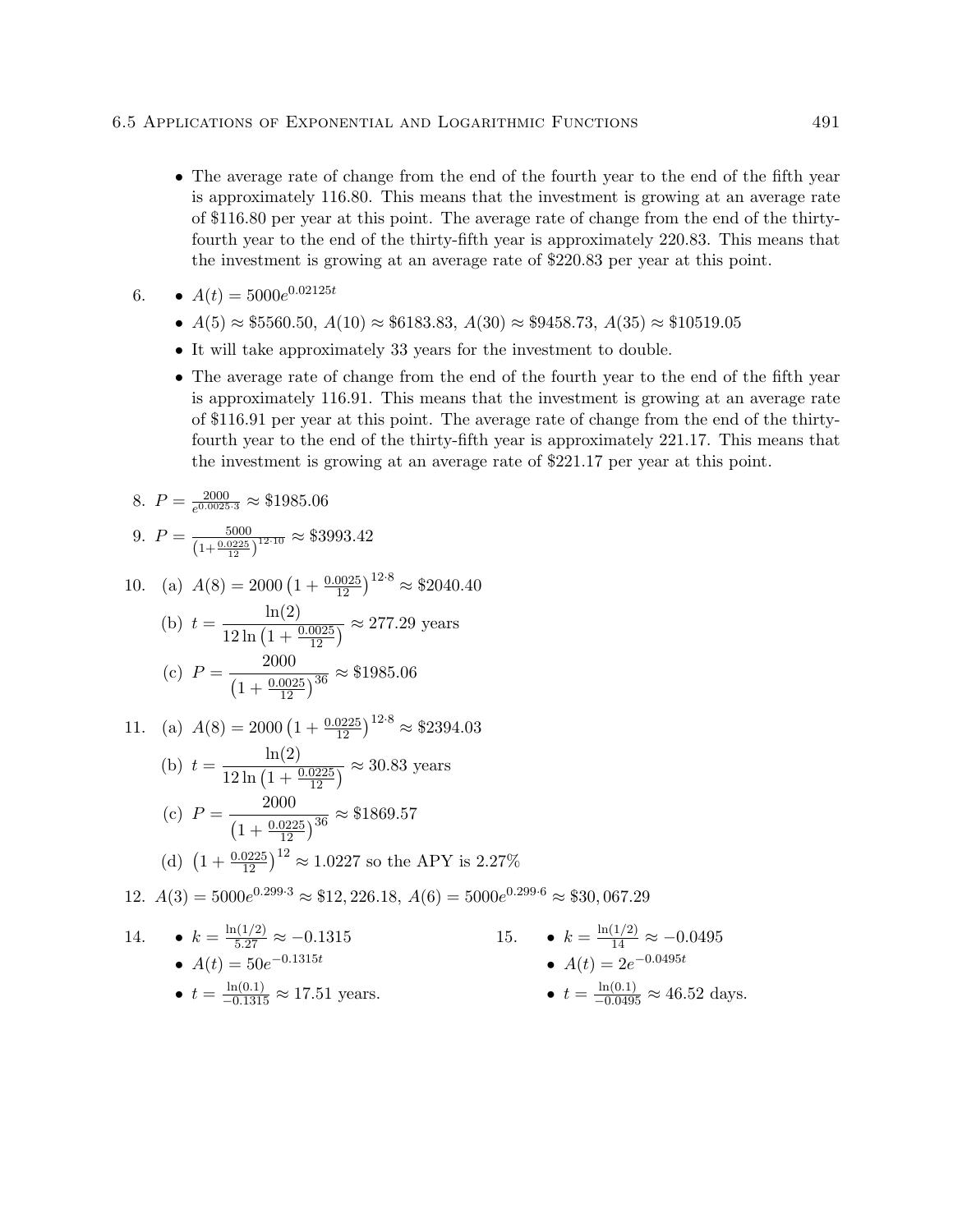• The average rate of change from the end of the fourth year to the end of the fifth year is approximately 116.80. This means that the investment is growing at an average rate of \$116.80 per year at this point. The average rate of change from the end of the thirtyfourth year to the end of the thirty-fifth year is approximately 220.83. This means that the investment is growing at an average rate of \$220.83 per year at this point.

$$
6. \qquad \bullet \ \ A(t) = 5000e^{0.02125t}
$$

- $A(5) \approx $5560.50, A(10) \approx $6183.83, A(30) \approx $9458.73, A(35) \approx $10519.05$
- It will take approximately 33 years for the investment to double.
- The average rate of change from the end of the fourth year to the end of the fifth year is approximately 116.91. This means that the investment is growing at an average rate of \$116.91 per year at this point. The average rate of change from the end of the thirtyfourth year to the end of the thirty-fifth year is approximately 221.17. This means that the investment is growing at an average rate of \$221.17 per year at this point.

8. 
$$
P = \frac{2000}{e^{0.0025 \cdot 3}} \approx $1985.06
$$

9. 
$$
P = \frac{5000}{\left(1 + \frac{0.0225}{12}\right)^{12 \cdot 10}} \approx $3993.42
$$

10. (a) 
$$
A(8) = 2000 \left(1 + \frac{0.0025}{12}\right)^{12 \cdot 8} \approx $2040.40
$$

(b) 
$$
t = \frac{\ln(2)}{12 \ln(1 + \frac{0.0025}{12})} \approx 277.29
$$
 years  
(c)  $P = \frac{2000}{(1 + \frac{0.0025}{12})^{36}} \approx $1985.06$ 

$$
\left(1 + \frac{0.0025}{12}\right)^{36} \tag{18.9}
$$

11. (a) 
$$
A(8) = 2000 \left(1 + \frac{0.0225}{12}\right)^{12 \cdot 8} \approx $2394.03
$$
  
\n(b)  $t = \frac{\ln(2)}{12 \ln\left(1 + \frac{0.0225}{12}\right)} \approx 30.83$  years  
\n(c)  $P = \frac{2000}{12 \cdot 12 \cdot 12} \approx $1869.57$ 

(d) 
$$
(1 + \frac{0.0225}{12})^{36}
$$
  
(d) 
$$
(1 + \frac{0.0225}{12})^{12} \approx 1.0227
$$
 so the APY is 2.27%

12.  $A(3) = 5000e^{0.299 \cdot 3} \approx $12,226.18, A(6) = 5000e^{0.299 \cdot 6} \approx $30,067.29$ 

14. 
$$
\bullet k = \frac{\ln(1/2)}{5.27} \approx -0.1315
$$
  
\n•  $A(t) = 50e^{-0.1315t}$   
\n•  $t = \frac{\ln(0.1)}{-0.1315} \approx 17.51$  years.  
\n•  $t = \frac{\ln(0.1)}{-0.0495} \approx 46.52$  days.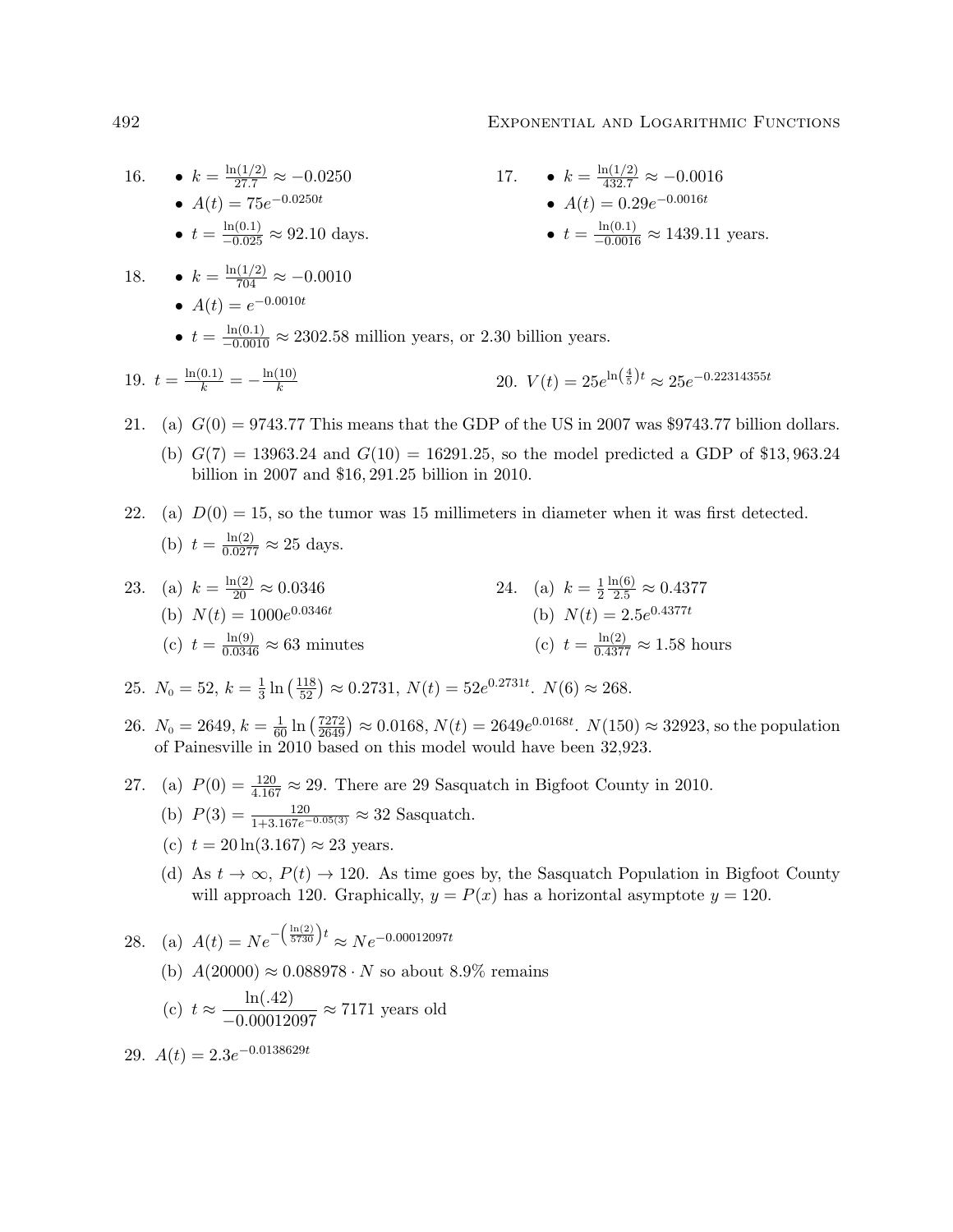#### 492 Exponential and Logarithmic Functions

16. 
$$
\bullet k = \frac{\ln(1/2)}{27.7} \approx -0.0250
$$
  
\n
$$
\bullet A(t) = 75e^{-0.0250t}
$$
  
\n
$$
\bullet A(t) = 75e^{-0.0250t}
$$
  
\n
$$
\bullet A(t) = 0.29e^{-0.0016t}
$$
  
\n
$$
\bullet A(t) = 0.29e^{-0.0016t}
$$
  
\n
$$
\bullet t = \frac{\ln(0.1)}{-0.025} \approx 92.10 \text{ days.}
$$
  
\n18. 
$$
\bullet k = \frac{\ln(1/2)}{704} \approx -0.0010
$$
  
\n
$$
\bullet A(t) = e^{-0.0010t}
$$
  
\n
$$
\bullet t = \frac{\ln(0.1)}{-0.0016} \approx 2302.58 \text{ million years, or } 2.30 \text{ billion years.}
$$
  
\n19. 
$$
t = \frac{\ln(0.1)}{k} = -\frac{\ln(10)}{k}
$$
  
\n20. 
$$
V(t) = 25e^{\ln(\frac{4}{5})t} \approx 25e^{-0.22314355t}
$$

- 21. (a)  $G(0) = 9743.77$  This means that the GDP of the US in 2007 was \$9743.77 billion dollars.
	- (b)  $G(7) = 13963.24$  and  $G(10) = 16291.25$ , so the model predicted a GDP of \$13,963.24 billion in 2007 and \$16, 291.25 billion in 2010.
- 22. (a)  $D(0) = 15$ , so the tumor was 15 millimeters in diameter when it was first detected. (b)  $t = \frac{\ln(2)}{0.0277} \approx 25$  days.
- 23. (a)  $k = \frac{\ln(2)}{20} \approx 0.0346$ (b)  $N(t) = 1000e^{0.0346t}$ (c)  $t = \frac{\ln(9)}{0.0346} \approx 63$  minutes 24. (a)  $k=\frac{1}{2}$ 2  $\frac{\ln(6)}{2.5} \approx 0.4377$ (b)  $N(t) = 2.5e^{0.4377t}$ (c)  $t = \frac{\ln(2)}{0.4377} \approx 1.58$  hours

25. 
$$
N_0 = 52
$$
,  $k = \frac{1}{3} \ln \left( \frac{118}{52} \right) \approx 0.2731$ ,  $N(t) = 52e^{0.2731t}$ .  $N(6) \approx 268$ .

- 26.  $N_0 = 2649, k = \frac{1}{60} \ln \left( \frac{7272}{2649} \right) \approx 0.0168, N(t) = 2649e^{0.0168t}$ .  $N(150) \approx 32923$ , so the population of Painesville in 2010 based on this model would have been 32,923.
- 27. (a)  $P(0) = \frac{120}{4.167} \approx 29$ . There are 29 Sasquatch in Bigfoot County in 2010.
	- (b)  $P(3) = \frac{120}{1+3.167e^{-0.05(3)}} \approx 32$  Sasquatch.
	- (c)  $t = 20 \ln(3.167) \approx 23$  years.
	- (d) As  $t \to \infty$ ,  $P(t) \to 120$ . As time goes by, the Sasquatch Population in Bigfoot County will approach 120. Graphically,  $y = P(x)$  has a horizontal asymptote  $y = 120$ .

28. (a)  $A(t) = Ne^{-\left(\frac{\ln(2)}{5730}\right)t} \approx Ne^{-0.00012097t}$ 

(b)  $A(20000) \approx 0.088978 \cdot N$  so about 8.9% remains

(c) 
$$
t \approx \frac{\ln(.42)}{-0.00012097} \approx 7171
$$
 years old

29.  $A(t) = 2.3e^{-0.0138629t}$